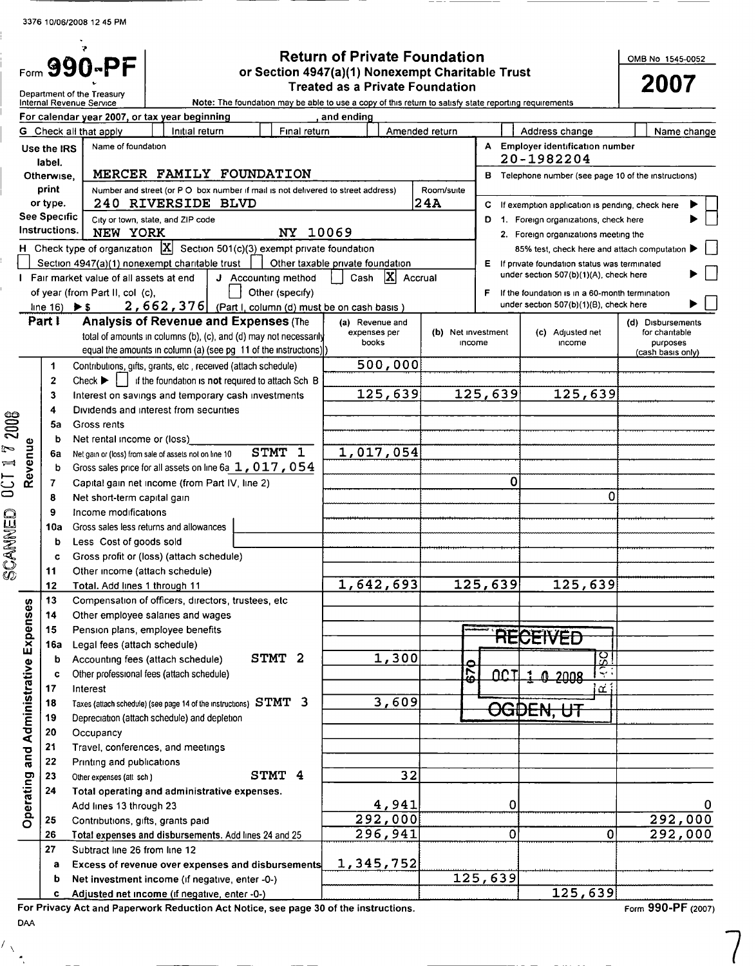# Form  $\bigcirc$  **BOO-PF CONDING THE RETAINERTY OF RETAINING THE RETAINING RETAINING PRIME NO SECTION PRIME OF RETAINING A STAT SOLUTION** or Section 4947(a)(1) Nonexempt Charitable Trust

|                                   |                              | Department of the Treasury                                                           |                                   |                                                                                                       | <b>Treated as a Private Foundation</b> |                    |              |                                                      | 2007                      |
|-----------------------------------|------------------------------|--------------------------------------------------------------------------------------|-----------------------------------|-------------------------------------------------------------------------------------------------------|----------------------------------------|--------------------|--------------|------------------------------------------------------|---------------------------|
|                                   |                              | Internal Revenue Service<br>For calendar year 2007, or tax year beginning            |                                   | Note: The foundation may be able to use a copy of this return to satisfy state reporting requirements | and ending                             |                    |              |                                                      |                           |
|                                   |                              | G Check all that apply                                                               | Initial return                    | Final return                                                                                          |                                        | Amended return     |              | Address change                                       | Name change               |
|                                   | Use the IRS                  | Name of foundation                                                                   |                                   |                                                                                                       |                                        |                    |              | A Employer identification number                     |                           |
|                                   | label.                       |                                                                                      |                                   |                                                                                                       |                                        |                    |              | 20-1982204                                           |                           |
|                                   | Otherwise.                   |                                                                                      |                                   | MERCER FAMILY FOUNDATION                                                                              |                                        |                    |              | B Telephone number (see page 10 of the instructions) |                           |
|                                   | print                        |                                                                                      |                                   | Number and street (or P O box number if mail is not delivered to street address)                      |                                        | Room/suite         |              |                                                      |                           |
|                                   | or type.                     |                                                                                      | 240 RIVERSIDE BLVD                |                                                                                                       |                                        | 24A                | c.           | If exemption application is pending, check here      |                           |
|                                   | See Specific                 |                                                                                      | City or town, state, and ZIP code |                                                                                                       |                                        |                    |              | 1. Foreign organizations, check here                 |                           |
|                                   | Instructions.                | NEW YORK                                                                             |                                   | NY 10069                                                                                              |                                        |                    |              | 2. Foreign organizations meeting the                 |                           |
|                                   |                              |                                                                                      |                                   | H Check type of organization $\mathbf{X}$ Section 501(c)(3) exempt private foundation                 |                                        |                    |              | 85% test, check here and attach computation          |                           |
|                                   |                              | Section 4947(a)(1) nonexempt charitable trust                                        |                                   |                                                                                                       | Other taxable private foundation       |                    |              | E If private foundation status was terminated        |                           |
|                                   |                              | I Fair market value of all assets at end                                             |                                   | J Accounting method                                                                                   | $ X $ Accrual<br>Cash                  |                    |              | under section 507(b)(1)(A), check here               |                           |
|                                   |                              | of year (from Part II, col (c),                                                      |                                   | Other (specify)                                                                                       |                                        |                    |              | F If the foundation is in a 60-month termination     |                           |
|                                   | line 16) $\triangleright$ \$ |                                                                                      |                                   | $2,662,376$ (Part I, column (d) must be on cash basis)                                                |                                        |                    |              | under section 507(b)(1)(B), check here               |                           |
|                                   | Part I                       |                                                                                      |                                   | <b>Analysis of Revenue and Expenses (The</b>                                                          | (a) Revenue and                        |                    |              |                                                      | (d) Disbursements         |
|                                   |                              |                                                                                      |                                   | total of amounts in columns (b), (c), and (d) may not necessarily                                     | expenses per<br>books                  | (b) Net investment | income       | (c) Adjusted net<br>income                           | for chantable<br>purposes |
|                                   |                              |                                                                                      |                                   | equal the amounts in column (a) (see pg 11 of the instructions))                                      |                                        |                    |              |                                                      | (cash basis only)         |
|                                   | 1                            |                                                                                      |                                   | Contributions, gifts, grants, etc, received (attach schedule)                                         | 500,000                                |                    |              |                                                      |                           |
|                                   | $\mathbf{2}$                 | $Check \rightarrow \Box$                                                             |                                   | if the foundation is not required to attach Sch B                                                     |                                        |                    |              |                                                      |                           |
|                                   | 3                            |                                                                                      |                                   | Interest on savings and temporary cash investments                                                    | 125,639                                |                    | 125,639      | 125,639                                              |                           |
|                                   | 4                            | Dividends and interest from securities                                               |                                   |                                                                                                       |                                        |                    |              |                                                      |                           |
| 2008                              | 5a                           | Gross rents                                                                          |                                   |                                                                                                       |                                        |                    |              |                                                      |                           |
| P                                 | b                            | Net rental income or (loss)<br>Net gain or (loss) from sale of assets not on line 10 |                                   | STMT 1                                                                                                | 1,017,054                              |                    |              |                                                      |                           |
| $\equiv$                          | 6a<br>b                      |                                                                                      |                                   | Gross sales price for all assets on line 6a 1, 017, 054                                               |                                        |                    |              |                                                      |                           |
| Revenue                           | 7                            | Capital gain net income (from Part IV, line 2)                                       |                                   |                                                                                                       |                                        |                    | 0            |                                                      |                           |
| UUT                               | 8                            | Net short-term capital gain                                                          |                                   |                                                                                                       |                                        |                    |              | 0                                                    |                           |
|                                   | 9                            | Income modifications                                                                 |                                   |                                                                                                       |                                        |                    |              |                                                      |                           |
| SCANNED                           | 10a                          | Gross sales less returns and allowances                                              |                                   |                                                                                                       |                                        |                    |              |                                                      |                           |
|                                   | b                            | Less Cost of goods sold                                                              |                                   |                                                                                                       |                                        |                    |              |                                                      |                           |
|                                   | C                            | Gross profit or (loss) (attach schedule)                                             |                                   |                                                                                                       |                                        |                    |              |                                                      |                           |
|                                   | 11                           | Other income (attach schedule)                                                       |                                   |                                                                                                       |                                        |                    |              |                                                      |                           |
|                                   | 12                           | Total. Add lines 1 through 11                                                        |                                   |                                                                                                       | 1,642,693                              |                    | 125,639      | 125,639                                              |                           |
|                                   | 13                           |                                                                                      |                                   | Compensation of officers, directors, trustees, etc                                                    |                                        |                    |              |                                                      |                           |
| nses                              | 14                           | Other employee salaries and wages                                                    |                                   |                                                                                                       |                                        |                    |              |                                                      |                           |
|                                   | 15                           | Pension plans, employee benefits                                                     |                                   |                                                                                                       |                                        |                    |              | <del>RECEIVED</del>                                  |                           |
|                                   | 16a                          | Legal fees (attach schedule)                                                         |                                   |                                                                                                       |                                        |                    |              |                                                      |                           |
|                                   | b                            | Accounting fees (attach schedule)                                                    |                                   | STMT 2                                                                                                | 1,300                                  |                    |              | SQ                                                   |                           |
|                                   | c                            | Other professional fees (attach schedule)                                            |                                   |                                                                                                       |                                        | 670                | <u>nc tl</u> | ्रः<br>0,2008                                        |                           |
|                                   | 17                           | Interest                                                                             |                                   |                                                                                                       |                                        |                    |              | أتت                                                  |                           |
|                                   | 18                           |                                                                                      |                                   | Taxes (attach schedule) (see page 14 of the instructions) $STMT - 3$                                  | 3,609                                  |                    |              | <del>OGDEN, UT</del>                                 |                           |
|                                   | 19                           | Depreciation (attach schedule) and depletion                                         |                                   |                                                                                                       |                                        |                    |              |                                                      |                           |
|                                   | 20                           | Occupancy                                                                            |                                   |                                                                                                       |                                        |                    |              |                                                      |                           |
|                                   | 21                           | Travel, conferences, and meetings                                                    |                                   |                                                                                                       |                                        |                    |              |                                                      |                           |
| Operating and Administrative Expe | 22                           | Printing and publications                                                            |                                   | STMT 4                                                                                                | 32                                     |                    |              |                                                      |                           |
|                                   | 23<br>24                     | Other expenses (att sch)<br>Total operating and administrative expenses.             |                                   |                                                                                                       |                                        |                    |              |                                                      |                           |
|                                   |                              | Add lines 13 through 23                                                              |                                   |                                                                                                       | 4,941                                  |                    | 0            |                                                      | 0                         |
|                                   | 25                           | Contributions, gifts, grants paid                                                    |                                   |                                                                                                       | 292,000                                |                    |              |                                                      | 292,000                   |
|                                   | 26                           |                                                                                      |                                   | Total expenses and disbursements. Add lines 24 and 25                                                 | 296,941                                |                    | 0            | 0                                                    | 292,000                   |
|                                   | 27                           | Subtract line 26 from line 12                                                        |                                   |                                                                                                       |                                        |                    |              |                                                      |                           |
|                                   | а                            |                                                                                      |                                   | Excess of revenue over expenses and disbursements                                                     | 1,345,752                              |                    |              |                                                      |                           |
|                                   | b                            | Net investment income (if negative, enter -0-)                                       |                                   |                                                                                                       |                                        |                    | 125,639      |                                                      |                           |
|                                   | c                            | Adjusted net income (if negative, enter -0-)                                         |                                   |                                                                                                       |                                        |                    |              | 125,639                                              |                           |

For Privacy Act and Paperwork Reduction Act Notice, see page 30 of the instructions.

Form 990-PF (2007)

DAA

 $\sqrt{2}$  $\overline{a}$ 

e-- L) O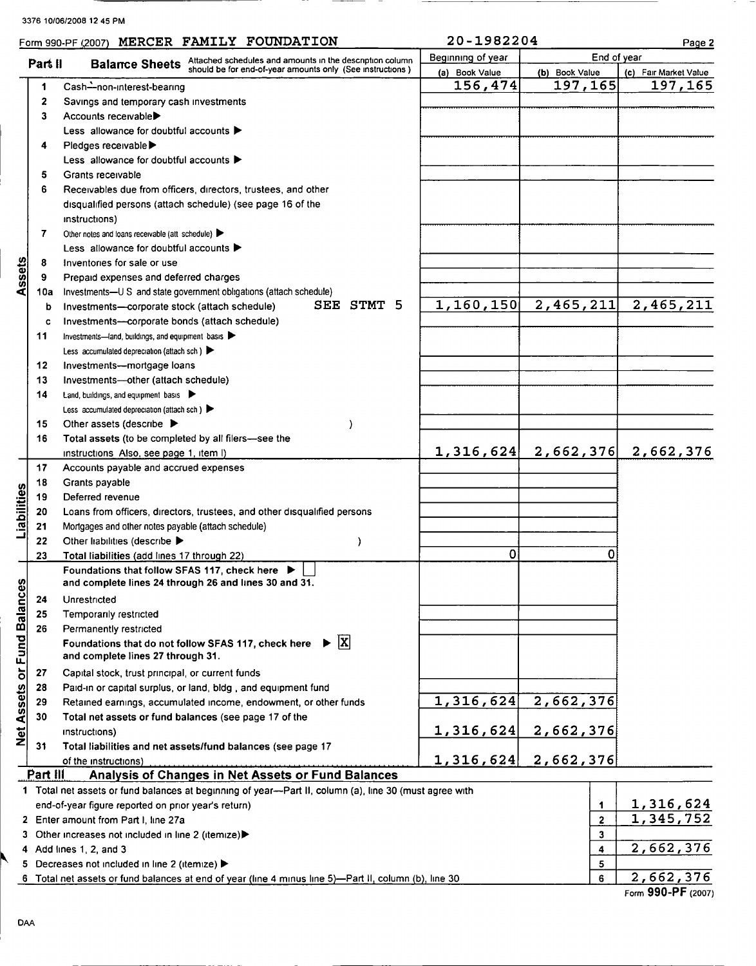|  | Form 990-PF (2007) |  |  | MERCER FAMILY FOUNDATION | 1982204<br>$20 -$ | Page 2 |  |
|--|--------------------|--|--|--------------------------|-------------------|--------|--|
|--|--------------------|--|--|--------------------------|-------------------|--------|--|

|  | 20-1982204 |  |  |  |
|--|------------|--|--|--|
|  |            |  |  |  |

|                          | Part II  | <b>Balance Sheets</b> Attached schedules and amounts in the description column of the description column | Beginning of year | End of year                     |                       |
|--------------------------|----------|----------------------------------------------------------------------------------------------------------|-------------------|---------------------------------|-----------------------|
|                          |          |                                                                                                          | (a) Book Value    | (b) Book Value                  | (c) Fair Market Value |
|                          | 1        | Cash-non-interest-bearing                                                                                | 156,474           | 197,165                         | 197,165               |
|                          | 2        | Savings and temporary cash investments                                                                   |                   |                                 |                       |
|                          | 3        | Accounts receivable                                                                                      |                   |                                 |                       |
|                          |          | Less allowance for doubtful accounts $\blacktriangleright$                                               |                   |                                 |                       |
|                          | 4        | Pledges receivable ▶                                                                                     |                   |                                 |                       |
|                          |          | Less allowance for doubtful accounts ▶                                                                   |                   |                                 |                       |
|                          | 5        | Grants receivable                                                                                        |                   |                                 |                       |
|                          | 6        | Receivables due from officers, directors, trustees, and other                                            |                   |                                 |                       |
|                          |          | disqualified persons (attach schedule) (see page 16 of the                                               |                   |                                 |                       |
|                          |          |                                                                                                          |                   |                                 |                       |
|                          |          | instructions)                                                                                            |                   |                                 |                       |
|                          | 7        | Other notes and loans receivable (att schedule) $\blacktriangleright$                                    |                   |                                 |                       |
|                          |          | Less allowance for doubtful accounts ▶                                                                   |                   |                                 |                       |
| Assets                   | 8        | Inventories for sale or use                                                                              |                   |                                 |                       |
|                          | 9        | Prepaid expenses and deferred charges                                                                    |                   |                                 |                       |
|                          | 10a      | Investments-U S and state government obligations (attach schedule)                                       |                   |                                 |                       |
|                          | b        | SEE STMT 5<br>Investments-corporate stock (attach schedule)                                              |                   | $1, 160, 150$ 2, 465, 211       | 2,465,211             |
|                          | c        | Investments---corporate bonds (attach schedule)                                                          |                   |                                 |                       |
|                          | 11       | Investments-land, buildings, and equipment basis                                                         |                   |                                 |                       |
|                          |          | Less accumulated depreciation (attach sch.)                                                              |                   |                                 |                       |
|                          | 12       | Investments--mortgage loans                                                                              |                   |                                 |                       |
|                          | 13       | Investments-other (attach schedule)                                                                      |                   |                                 |                       |
|                          | 14       | Land, buildings, and equipment basis                                                                     |                   |                                 |                       |
|                          |          | Less accumulated depreciation (attach sch.)                                                              |                   |                                 |                       |
|                          | 15       | Other assets (describe $\blacktriangleright$<br>J.                                                       |                   |                                 |                       |
|                          | 16       | Total assets (to be completed by all filers-see the                                                      |                   |                                 |                       |
|                          |          | instructions Also, see page 1, item I)                                                                   |                   | $1,316,624$ 2,662,376 2,662,376 |                       |
|                          | 17       | Accounts payable and accrued expenses                                                                    |                   |                                 |                       |
|                          | 18       | Grants payable                                                                                           |                   |                                 |                       |
|                          | 19       | Deferred revenue                                                                                         |                   |                                 |                       |
| Liabilities              | 20       | Loans from officers, directors, trustees, and other disqualified persons                                 |                   |                                 |                       |
|                          | 21       | Mortgages and other notes payable (attach schedule)                                                      |                   |                                 |                       |
|                          | 22       | Other liabilities (describe ><br>I                                                                       |                   |                                 |                       |
|                          | 23       | Total liabilities (add lines 17 through 22)                                                              | 0                 | 0                               |                       |
|                          |          | Foundations that follow SFAS 117, check here                                                             |                   |                                 |                       |
|                          |          | and complete lines 24 through 26 and lines 30 and 31.                                                    |                   |                                 |                       |
| <b>nces</b>              | 24       | Unrestricted                                                                                             |                   |                                 |                       |
|                          | 25       | Temporarily restricted                                                                                   |                   |                                 |                       |
|                          | 26       | Permanently restricted                                                                                   |                   |                                 |                       |
| Net Assets or Fund Balar |          | $\triangleright$ $ X $<br>Foundations that do not follow SFAS 117, check here                            |                   |                                 |                       |
|                          |          | and complete lines 27 through 31.                                                                        |                   |                                 |                       |
|                          |          |                                                                                                          |                   |                                 |                       |
|                          | 27       | Capital stock, trust principal, or current funds                                                         |                   |                                 |                       |
|                          | 28       | Paid-in or capital surplus, or land, bldg, and equipment fund                                            |                   |                                 |                       |
|                          | 29       | Retained earnings, accumulated income, endowment, or other funds                                         | 1,316,624         | 2,662,376                       |                       |
|                          | 30       | Total net assets or fund balances (see page 17 of the                                                    |                   |                                 |                       |
|                          |          | instructions)                                                                                            | 1,316,624         | 2,662,376                       |                       |
|                          | 31       | Total liabilities and net assets/fund balances (see page 17                                              |                   |                                 |                       |
|                          |          | of the instructions)                                                                                     | 1,316,624         | 2,662,376                       |                       |
|                          | Part III | Analysis of Changes in Net Assets or Fund Balances                                                       |                   |                                 |                       |
|                          |          | 1 Total net assets or fund balances at beginning of year—Part II, column (a), line 30 (must agree with   |                   |                                 |                       |
|                          |          | end-of-year figure reported on prior year's return)                                                      |                   | 1                               | <u>1,316,624</u>      |
|                          |          | 2 Enter amount from Part I, line 27a                                                                     |                   | $\mathbf 2$                     | 1,345,752             |
|                          |          | 3 Other increases not included in line 2 (itemize)                                                       |                   | 3                               |                       |
|                          |          | 4 Add lines $1, 2,$ and $3$                                                                              |                   | 4                               | 2,662,376             |
|                          |          | 5 Decreases not included in line 2 (itemize) >                                                           |                   | 5                               |                       |
|                          |          | 6 Total net assets or fund balances at end of year (line 4 minus line 5)—Part II, column (b), line 30    |                   | 6                               | 2,662,376             |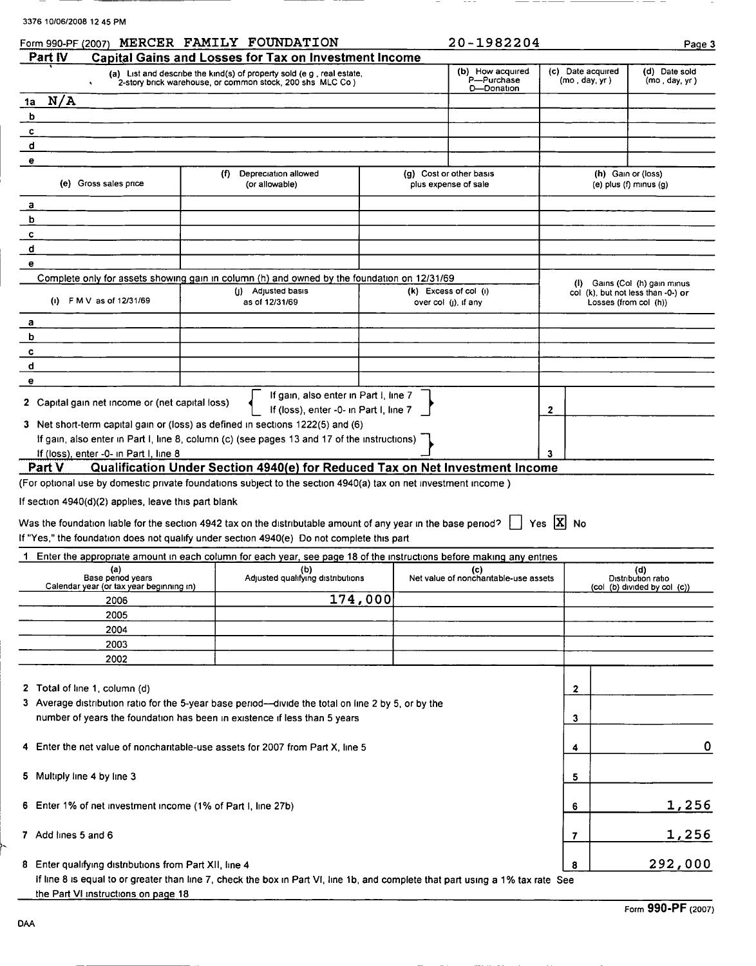| 3376 10/06/2008 12 45 PM |  |
|--------------------------|--|
|--------------------------|--|

| Form 990-PF (2007)                                                                                                              | MERCER FAMILY FOUNDATION                                                                                                            |         |                           | 20-1982204                                      |                                    | Page 3                                                              |
|---------------------------------------------------------------------------------------------------------------------------------|-------------------------------------------------------------------------------------------------------------------------------------|---------|---------------------------|-------------------------------------------------|------------------------------------|---------------------------------------------------------------------|
| Part IV                                                                                                                         | <b>Capital Gains and Losses for Tax on Investment Income</b>                                                                        |         |                           |                                                 |                                    |                                                                     |
|                                                                                                                                 | (a) List and describe the kind(s) of property sold (e g , real estate,<br>2-story brick warehouse, or common stock, 200 shs MLC Co) |         |                           | (b) How acquired<br>P-Purchase<br>D-Donation    | (c) Date acquired<br>(mo, day, yr) | (d) Date sold<br>(mo, day, yr)                                      |
| N/A<br>1a                                                                                                                       |                                                                                                                                     |         |                           |                                                 |                                    |                                                                     |
| b                                                                                                                               |                                                                                                                                     |         |                           |                                                 |                                    |                                                                     |
| c                                                                                                                               |                                                                                                                                     |         |                           |                                                 |                                    |                                                                     |
| d                                                                                                                               |                                                                                                                                     |         |                           |                                                 |                                    |                                                                     |
| е                                                                                                                               |                                                                                                                                     |         |                           |                                                 |                                    |                                                                     |
| (e) Gross sales price                                                                                                           | Depreciation allowed<br>(f)<br>(or allowable)                                                                                       |         |                           | (g) Cost or other basis<br>plus expense of sale |                                    | (h) Gain or (loss)<br>$(e)$ plus $(f)$ minus $(g)$                  |
| а                                                                                                                               |                                                                                                                                     |         |                           |                                                 |                                    |                                                                     |
| b                                                                                                                               |                                                                                                                                     |         |                           |                                                 |                                    |                                                                     |
| c                                                                                                                               |                                                                                                                                     |         |                           |                                                 |                                    |                                                                     |
| d                                                                                                                               |                                                                                                                                     |         |                           |                                                 |                                    |                                                                     |
| е                                                                                                                               |                                                                                                                                     |         |                           |                                                 |                                    |                                                                     |
| Complete only for assets showing gain in column (h) and owned by the foundation on 12/31/69                                     |                                                                                                                                     |         |                           |                                                 |                                    |                                                                     |
|                                                                                                                                 | Adjusted basis<br>O).                                                                                                               |         | $(k)$ Excess of col $(i)$ |                                                 |                                    | (I) Gains (Col (h) gain minus<br>col (k), but not less than -0-) or |
| (i) $F M V$ as of 12/31/69                                                                                                      | as of 12/31/69                                                                                                                      |         | over $col$ (j), if any    |                                                 |                                    | Losses (from col (h))                                               |
| а                                                                                                                               |                                                                                                                                     |         |                           |                                                 |                                    |                                                                     |
| b                                                                                                                               |                                                                                                                                     |         |                           |                                                 |                                    |                                                                     |
| c                                                                                                                               |                                                                                                                                     |         |                           |                                                 |                                    |                                                                     |
| d                                                                                                                               |                                                                                                                                     |         |                           |                                                 |                                    |                                                                     |
| е                                                                                                                               |                                                                                                                                     |         |                           |                                                 |                                    |                                                                     |
| 2 Capital gain net income or (net capital loss)                                                                                 | If gain, also enter in Part I, line 7                                                                                               |         |                           |                                                 |                                    |                                                                     |
|                                                                                                                                 | If (loss), enter -0- in Part I, line 7                                                                                              |         |                           |                                                 | 2                                  |                                                                     |
| 3 Net short-term capital gain or (loss) as defined in sections 1222(5) and (6)                                                  |                                                                                                                                     |         |                           |                                                 |                                    |                                                                     |
| If gain, also enter in Part I, line 8, column (c) (see pages 13 and 17 of the instructions)                                     |                                                                                                                                     |         |                           |                                                 |                                    |                                                                     |
| If (loss), enter -0- in Part I, line 8                                                                                          |                                                                                                                                     |         |                           |                                                 | 3                                  |                                                                     |
| Part V                                                                                                                          | Qualification Under Section 4940(e) for Reduced Tax on Net Investment Income                                                        |         |                           |                                                 |                                    |                                                                     |
| (For optional use by domestic private foundations subject to the section 4940(a) tax on net investment income)                  |                                                                                                                                     |         |                           |                                                 |                                    |                                                                     |
| If section 4940(d)(2) applies, leave this part blank                                                                            |                                                                                                                                     |         |                           |                                                 |                                    |                                                                     |
|                                                                                                                                 |                                                                                                                                     |         |                           |                                                 |                                    |                                                                     |
| Was the foundation liable for the section 4942 tax on the distributable amount of any year in the base period?                  |                                                                                                                                     |         |                           |                                                 | Yes $ X $ No                       |                                                                     |
| If "Yes," the foundation does not qualify under section 4940(e) Do not complete this part                                       |                                                                                                                                     |         |                           |                                                 |                                    |                                                                     |
| 1 Enter the appropriate amount in each column for each year, see page 18 of the instructions before making any entries          |                                                                                                                                     |         |                           |                                                 |                                    |                                                                     |
| (a)<br>Base period years                                                                                                        | (b)<br>Adjusted qualifying distributions                                                                                            |         |                           | (c)<br>Net value of nonchantable-use assets     |                                    | (d)<br>Distribution ratio                                           |
| Calendar year (or tax year beginning in)                                                                                        |                                                                                                                                     |         |                           |                                                 |                                    | (col (b) divided by col (c))                                        |
| 2006                                                                                                                            |                                                                                                                                     | 174,000 |                           |                                                 |                                    |                                                                     |
| 2005                                                                                                                            |                                                                                                                                     |         |                           |                                                 |                                    |                                                                     |
| 2004                                                                                                                            |                                                                                                                                     |         |                           |                                                 |                                    |                                                                     |
| 2003                                                                                                                            |                                                                                                                                     |         |                           |                                                 |                                    |                                                                     |
| 2002                                                                                                                            |                                                                                                                                     |         |                           |                                                 |                                    |                                                                     |
|                                                                                                                                 |                                                                                                                                     |         |                           |                                                 |                                    |                                                                     |
| 2 Total of line 1, column (d)                                                                                                   |                                                                                                                                     |         |                           |                                                 | 2                                  |                                                                     |
| 3 Average distribution ratio for the 5-year base period--divide the total on line 2 by 5, or by the                             |                                                                                                                                     |         |                           |                                                 |                                    |                                                                     |
| number of years the foundation has been in existence if less than 5 years                                                       |                                                                                                                                     |         |                           |                                                 | 3                                  |                                                                     |
|                                                                                                                                 |                                                                                                                                     |         |                           |                                                 |                                    |                                                                     |
| 4 Enter the net value of noncharitable-use assets for 2007 from Part X, line 5                                                  |                                                                                                                                     |         |                           |                                                 | 4                                  | 0                                                                   |
|                                                                                                                                 |                                                                                                                                     |         |                           |                                                 |                                    |                                                                     |
| 5 Multiply line 4 by line 3                                                                                                     |                                                                                                                                     |         |                           |                                                 | 5                                  |                                                                     |
|                                                                                                                                 |                                                                                                                                     |         |                           |                                                 |                                    |                                                                     |
| 6 Enter 1% of net investment income (1% of Part I, line 27b)                                                                    |                                                                                                                                     |         |                           |                                                 |                                    | 1,256                                                               |
|                                                                                                                                 |                                                                                                                                     |         |                           |                                                 | 6                                  |                                                                     |
|                                                                                                                                 |                                                                                                                                     |         |                           |                                                 |                                    |                                                                     |
| 7 Add lines 5 and 6                                                                                                             |                                                                                                                                     |         |                           |                                                 | 7                                  | 1,256                                                               |
|                                                                                                                                 |                                                                                                                                     |         |                           |                                                 |                                    |                                                                     |
| 8 Enter qualifying distributions from Part XII, line 4                                                                          |                                                                                                                                     |         |                           |                                                 | 8                                  | 292,000                                                             |
| If line 8 is equal to or greater than line 7, check the box in Part VI, line 1b, and complete that part using a 1% tax rate See |                                                                                                                                     |         |                           |                                                 |                                    |                                                                     |
| the Part VI instructions on page 18                                                                                             |                                                                                                                                     |         |                           |                                                 |                                    |                                                                     |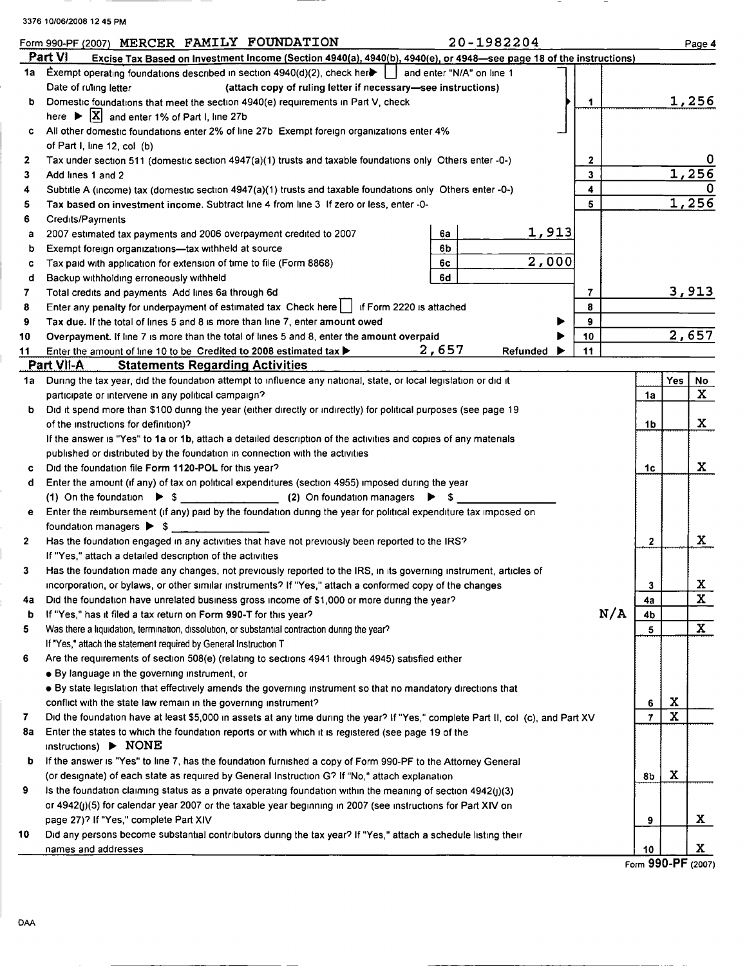|              | 20-1982204<br>Form 990-PF (2007) MERCER FAMILY FOUNDATION                                                                                                            |    |             | Page 4       |
|--------------|----------------------------------------------------------------------------------------------------------------------------------------------------------------------|----|-------------|--------------|
|              | Part VI<br>Excise Tax Based on Investment Income (Section 4940(a), 4940(b), 4940(e), or 4948-see page 18 of the instructions)                                        |    |             |              |
|              | 1a Exempt operating foundations described in section 4940(d)(2), check here     and enter "N/A" on line 1                                                            |    |             |              |
|              | Date of ruling letter<br>(attach copy of ruling letter if necessary-see instructions)                                                                                |    |             |              |
| b            | $\mathbf 1$<br>Domestic foundations that meet the section 4940(e) requirements in Part V, check                                                                      |    |             | 1,256        |
|              | here $\triangleright$ $\lfloor X \rfloor$ and enter 1% of Part I, line 27b                                                                                           |    |             |              |
| c            | All other domestic foundations enter 2% of line 27b Exempt foreign organizations enter 4%                                                                            |    |             |              |
|              | of Part I, line 12, col (b)                                                                                                                                          |    |             |              |
| $\mathbf{z}$ | Tax under section 511 (domestic section 4947(a)(1) trusts and taxable foundations only Others enter -0-)<br>$\mathbf{2}$                                             |    |             |              |
| 3            | 3<br>Add lines 1 and 2                                                                                                                                               |    |             | 1,256        |
| 4            | 4<br>Subtitle A (income) tax (domestic section 4947(a)(1) trusts and taxable foundations only Others enter -0-)                                                      |    |             | 1,256        |
| 5            | 5<br>Tax based on investment income. Subtract line 4 from line 3 If zero or less, enter -0-                                                                          |    |             |              |
| 6            | Credits/Payments<br><u>1,913</u>                                                                                                                                     |    |             |              |
| a            | 6a<br>2007 estimated tax payments and 2006 overpayment credited to 2007<br>6b                                                                                        |    |             |              |
| b<br>c       | Exempt foreign organizations-tax withheld at source<br>2,000<br>6c                                                                                                   |    |             |              |
| d            | Tax paid with application for extension of time to file (Form 8868)<br>6d<br>Backup withholding erroneously withheld                                                 |    |             |              |
| 7            | Total credits and payments Add lines 6a through 6d<br>7                                                                                                              |    |             | 3,913        |
| 8            | Enter any penalty for underpayment of estimated tax Check here     if Form 2220 is attached<br>8                                                                     |    |             |              |
| 9            | 9<br>Tax due. If the total of lines 5 and 8 is more than line 7, enter amount owed                                                                                   |    |             |              |
| 10           | 10<br>Overpayment. If line 7 is more than the total of lines 5 and 8, enter the amount overpaid                                                                      |    |             | 2,657        |
| 11           | 2,657<br>11<br>Enter the amount of line 10 to be Credited to 2008 estimated tax $\blacktriangleright$<br>Refunded                                                    |    |             |              |
|              | Part VII-A<br><b>Statements Regarding Activities</b>                                                                                                                 |    |             |              |
| 1a           | During the tax year, did the foundation attempt to influence any national, state, or local legislation or did it                                                     |    | Yes         | No           |
|              | participate or intervene in any political campaign?                                                                                                                  | 1a |             | $\mathbf{x}$ |
| b            | Did it spend more than \$100 during the year (either directly or indirectly) for political purposes (see page 19                                                     |    |             |              |
|              | of the instructions for definition)?                                                                                                                                 | 1b |             | $\mathbf{x}$ |
|              | If the answer is "Yes" to 1a or 1b, attach a detailed description of the activities and copies of any materials                                                      |    |             |              |
|              | published or distributed by the foundation in connection with the activities                                                                                         |    |             |              |
| c            | Did the foundation file Form 1120-POL for this year?                                                                                                                 | 1c |             | X            |
| d            | Enter the amount (if any) of tax on political expenditures (section 4955) imposed during the year                                                                    |    |             |              |
|              | (1) On the foundation $\triangleright$ \$ (2) On foundation managers $\triangleright$ \$                                                                             |    |             |              |
| e            | Enter the reimbursement (if any) paid by the foundation during the year for political expenditure tax imposed on                                                     |    |             |              |
|              | foundation managers $\triangleright$ \$                                                                                                                              |    |             |              |
| $\mathbf{2}$ | Has the foundation engaged in any activities that have not previously been reported to the IRS?                                                                      | 2  |             | X            |
|              | If "Yes," attach a detailed description of the activities                                                                                                            |    |             |              |
| 3            | Has the foundation made any changes, not previously reported to the IRS, in its governing instrument, articles of                                                    |    |             |              |
|              | incorporation, or bylaws, or other similar instruments? If "Yes," attach a conformed copy of the changes                                                             | 3  |             | X.           |
| 4a           | Did the foundation have unrelated business gross income of \$1,000 or more during the year?                                                                          | 4a |             | $\mathbf{x}$ |
| b            | N/A<br>If "Yes," has it filed a tax return on Form 990-T for this year?                                                                                              | 4b |             | $\mathbf{x}$ |
| 5            | Was there a liquidation, termination, dissolution, or substantial contraction during the year?                                                                       | 5  |             |              |
| 6            | If "Yes," attach the statement required by General Instruction T<br>Are the requirements of section 508(e) (relating to sections 4941 through 4945) satisfied either |    |             |              |
|              | • By language in the governing instrument, or                                                                                                                        |    |             |              |
|              | . By state legislation that effectively amends the governing instrument so that no mandatory directions that                                                         |    |             |              |
|              | conflict with the state law remain in the governing instrument?                                                                                                      | 6  | X           |              |
| 7            | Did the foundation have at least \$5,000 in assets at any time during the year? If "Yes," complete Part II, col (c), and Part XV                                     | 7  | $\mathbf x$ |              |
| 8а           | Enter the states to which the foundation reports or with which it is registered (see page 19 of the                                                                  |    |             |              |
|              | instructions) $\triangleright$ NONE                                                                                                                                  |    |             |              |
| b            | If the answer is "Yes" to line 7, has the foundation furnished a copy of Form 990-PF to the Attorney General                                                         |    |             |              |
|              | (or designate) of each state as required by General Instruction G? If "No," attach explanation                                                                       | 8b | X           |              |
| 9            | Is the foundation claiming status as a private operating foundation within the meaning of section 4942(j)(3)                                                         |    |             |              |
|              | or 4942(j)(5) for calendar year 2007 or the taxable year beginning in 2007 (see instructions for Part XIV on                                                         |    |             |              |
|              | page 27)? If "Yes," complete Part XIV                                                                                                                                | 9  |             | X            |
| 10           | Did any persons become substantial contributors during the tax year? If "Yes," attach a schedule listing their                                                       |    |             |              |
|              | names and addresses                                                                                                                                                  | 10 |             | X.           |
|              |                                                                                                                                                                      |    |             |              |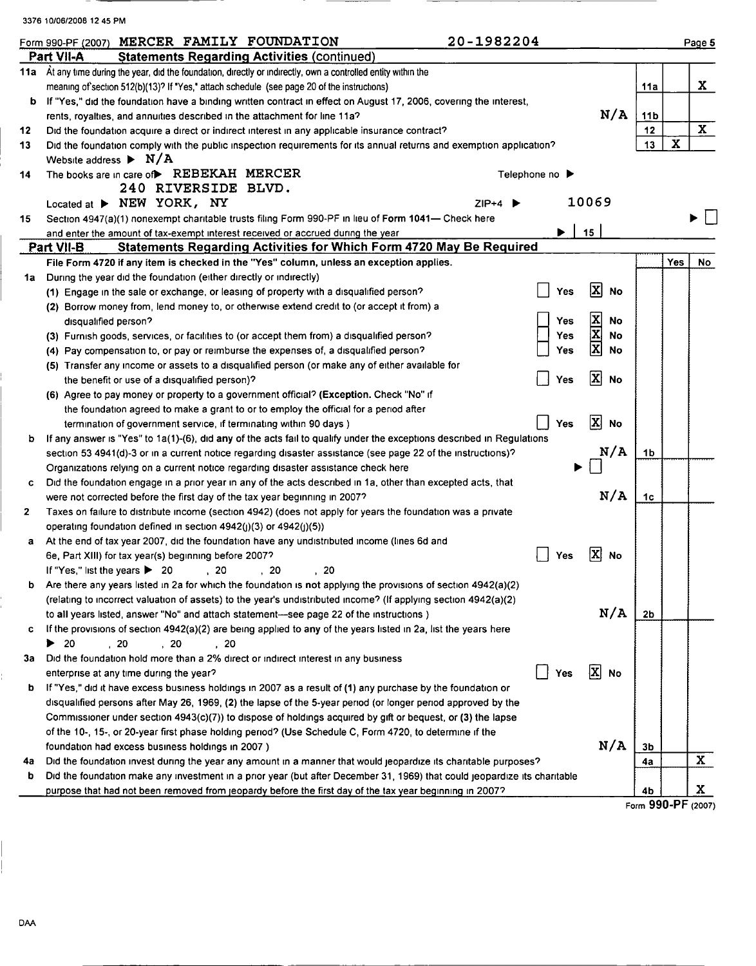|                 | 3376 10/06/2008 12 45 PM                                                                                                                                                                           |                         |                    |             |              |
|-----------------|----------------------------------------------------------------------------------------------------------------------------------------------------------------------------------------------------|-------------------------|--------------------|-------------|--------------|
|                 | 20-1982204<br>Form 990-PF (2007) MERCER FAMILY FOUNDATION                                                                                                                                          |                         |                    |             | Page 5       |
|                 | Part VII-A<br><b>Statements Regarding Activities (continued)</b>                                                                                                                                   |                         |                    |             |              |
|                 | 11a At any time during the year, did the foundation, directly or indirectly, own a controlled entity within the                                                                                    |                         |                    |             |              |
|                 | meaning of section 512(b)(13)? If "Yes," attach schedule (see page 20 of the instructions)                                                                                                         |                         | 11a                |             | X            |
|                 | b If "Yes," did the foundation have a binding written contract in effect on August 17, 2006, covering the interest,                                                                                |                         |                    |             |              |
|                 | rents, royalties, and annuities described in the attachment for line 11a?                                                                                                                          | N/A                     | 11 <sub>b</sub>    |             |              |
| 12 <sub>2</sub> | Did the foundation acquire a direct or indirect interest in any applicable insurance contract?                                                                                                     |                         | 12                 |             | $\mathbf{x}$ |
| 13              | Did the foundation comply with the public inspection requirements for its annual returns and exemption application?                                                                                |                         | 13                 | $\mathbf x$ |              |
|                 | Website address $\blacktriangleright$ N/A                                                                                                                                                          |                         |                    |             |              |
| 14              | The books are in care of REBEKAH MERCER<br>Telephone no $\blacktriangleright$                                                                                                                      |                         |                    |             |              |
|                 | 240 RIVERSIDE BLVD.                                                                                                                                                                                |                         |                    |             |              |
|                 | Located at > NEW YORK, NY<br>$ZIP+4$                                                                                                                                                               | 10069                   |                    |             |              |
| 15              | Section 4947(a)(1) nonexempt charitable trusts filing Form 990-PF in lieu of Form 1041- Check here                                                                                                 |                         |                    |             |              |
|                 | ▶<br>and enter the amount of tax-exempt interest received or accrued during the year                                                                                                               | 15                      |                    |             |              |
|                 | <b>Statements Regarding Activities for Which Form 4720 May Be Required</b><br>Part VII-B                                                                                                           |                         |                    |             |              |
|                 | File Form 4720 if any item is checked in the "Yes" column, unless an exception applies.                                                                                                            |                         |                    | Yes         | No           |
| 1a l            | During the year did the foundation (either directly or indirectly)                                                                                                                                 |                         |                    |             |              |
|                 | (1) Engage in the sale or exchange, or leasing of property with a disqualified person?<br>Yes                                                                                                      | 区<br>No                 |                    |             |              |
|                 | (2) Borrow money from, lend money to, or otherwise extend credit to (or accept it from) a                                                                                                          |                         |                    |             |              |
|                 | Yes<br>disqualified person?                                                                                                                                                                        | No                      |                    |             |              |
|                 | (3) Furnish goods, services, or facilities to (or accept them from) a disqualified person?<br>Yes                                                                                                  | <b>XIXIX</b><br>No      |                    |             |              |
|                 | (4) Pay compensation to, or pay or reimburse the expenses of, a disqualified person?<br>Yes                                                                                                        | No                      |                    |             |              |
|                 | (5) Transfer any income or assets to a disqualified person (or make any of either available for                                                                                                    | 図                       |                    |             |              |
|                 | Yes<br>the benefit or use of a disqualified person)?                                                                                                                                               | <b>No</b>               |                    |             |              |
|                 | (6) Agree to pay money or property to a government official? (Exception. Check "No" if                                                                                                             |                         |                    |             |              |
|                 | the foundation agreed to make a grant to or to employ the official for a period after                                                                                                              | $\overline{\mathbf{x}}$ |                    |             |              |
|                 | Yes<br>termination of government service, if terminating within 90 days)                                                                                                                           | No                      |                    |             |              |
| b               | If any answer is "Yes" to 1a(1)-(6), did any of the acts fail to qualify under the exceptions described in Regulations                                                                             | N/A                     | 1b                 |             |              |
|                 | section 53 4941(d)-3 or in a current notice regarding disaster assistance (see page 22 of the instructions)?                                                                                       |                         |                    |             |              |
|                 | Organizations relying on a current notice regarding disaster assistance check here<br>Did the foundation engage in a prior year in any of the acts described in 1a, other than excepted acts, that |                         |                    |             |              |
| c               | were not corrected before the first day of the tax year beginning in 2007?                                                                                                                         | N/A                     | 1c                 |             |              |
| 2               | Taxes on failure to distribute income (section 4942) (does not apply for years the foundation was a private                                                                                        |                         |                    |             |              |
|                 | operating foundation defined in section $4942(j)(3)$ or $4942(j)(5)$ )                                                                                                                             |                         |                    |             |              |
| a               | At the end of tax year 2007, did the foundation have any undistributed income (lines 6d and                                                                                                        |                         |                    |             |              |
|                 | 6e, Part XIII) for tax year(s) beginning before 2007?<br>Yes                                                                                                                                       | [X]<br>No               |                    |             |              |
|                 | If "Yes," list the years $\blacktriangleright$ 20<br>, 20<br>20<br>20                                                                                                                              |                         |                    |             |              |
| b               | Are there any years listed in 2a for which the foundation is not applying the provisions of section 4942(a)(2)                                                                                     |                         |                    |             |              |
|                 | (relating to incorrect valuation of assets) to the year's undistributed income? (If applying section 4942(a)(2)                                                                                    |                         |                    |             |              |
|                 | to all years listed, answer "No" and attach statement—see page 22 of the instructions)                                                                                                             | N/A                     | 2 <sub>b</sub>     |             |              |
| c               | If the provisions of section 4942(a)(2) are being applied to any of the years listed in 2a, list the years here                                                                                    |                         |                    |             |              |
|                 | ▶<br>-20<br>$\frac{20}{2}$<br>, 20<br>, 20                                                                                                                                                         |                         |                    |             |              |
| За              | Did the foundation hold more than a 2% direct or indirect interest in any business                                                                                                                 |                         |                    |             |              |
|                 | Yes<br>enterprise at any time during the year?                                                                                                                                                     | 区<br><b>No</b>          |                    |             |              |
| b               | If "Yes," did it have excess business holdings in 2007 as a result of (1) any purchase by the foundation or                                                                                        |                         |                    |             |              |
|                 | disqualified persons after May 26, 1969, (2) the lapse of the 5-year period (or longer period approved by the                                                                                      |                         |                    |             |              |
|                 | Commissioner under section 4943(c)(7)) to dispose of holdings acquired by gift or bequest, or (3) the lapse                                                                                        |                         |                    |             |              |
|                 | of the 10-, 15-, or 20-year first phase holding period? (Use Schedule C, Form 4720, to determine if the                                                                                            |                         |                    |             |              |
|                 | foundation had excess business holdings in 2007)                                                                                                                                                   | N/A                     | 3b                 |             |              |
| 4a              | Did the foundation invest during the year any amount in a manner that would jeopardize its charitable purposes?                                                                                    |                         | 4a                 |             | $\mathbf{x}$ |
| b               | Did the foundation make any investment in a prior year (but after December 31, 1969) that could jeopardize its charitable                                                                          |                         |                    |             |              |
|                 | purpose that had not been removed from jeopardy before the first day of the tax year beginning in 2007?                                                                                            |                         | 4b                 |             | X.           |
|                 |                                                                                                                                                                                                    |                         | Form 990-PF (2007) |             |              |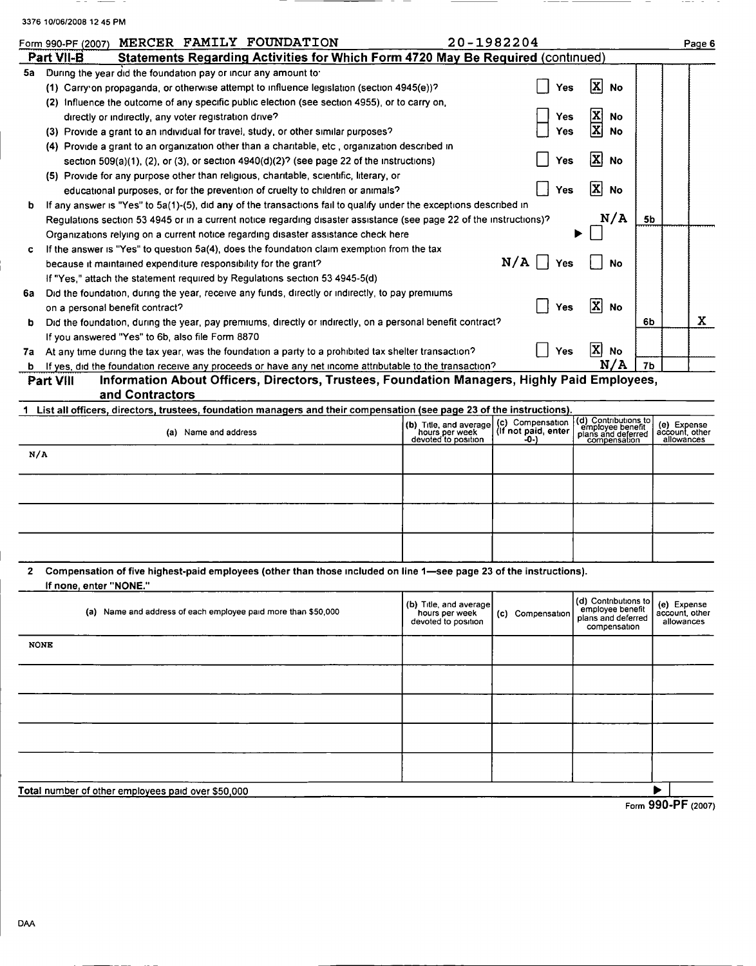|     | 3376 10/06/2008 12 45 PM                                                                                                                   |                                       |                             |                                          |                |                              |
|-----|--------------------------------------------------------------------------------------------------------------------------------------------|---------------------------------------|-----------------------------|------------------------------------------|----------------|------------------------------|
|     | MERCER FAMILY FOUNDATION<br>Form 990-PF (2007)                                                                                             |                                       | 20-1982204                  |                                          |                | Page 6                       |
|     | Statements Regarding Activities for Which Form 4720 May Be Required (continued)<br>Part VII-B                                              |                                       |                             |                                          |                |                              |
| 5a  | During the year did the foundation pay or incur any amount to:                                                                             |                                       |                             |                                          |                |                              |
|     | (1) Carry on propaganda, or otherwise attempt to influence legislation (section 4945(e))?                                                  |                                       | Yes                         | x<br><b>No</b>                           |                |                              |
|     | (2) Influence the outcome of any specific public election (see section 4955), or to carry on,                                              |                                       |                             |                                          |                |                              |
|     | directly or indirectly, any voter registration drive?                                                                                      |                                       | Yes                         | x<br>No                                  |                |                              |
|     | (3) Provide a grant to an individual for travel, study, or other similar purposes?                                                         |                                       | Yes                         | x<br>No                                  |                |                              |
|     | (4) Provide a grant to an organization other than a charitable, etc, organization described in                                             |                                       |                             |                                          |                |                              |
|     | section $509(a)(1)$ , (2), or (3), or section $4940(d)(2)$ ? (see page 22 of the instructions)                                             |                                       | Yes                         | x <br>No                                 |                |                              |
|     | (5) Provide for any purpose other than religious, charitable, scientific, literary, or                                                     |                                       |                             |                                          |                |                              |
|     | educational purposes, or for the prevention of cruelty to children or animals?                                                             |                                       | Yes                         | x<br>No                                  |                |                              |
| b   | If any answer is "Yes" to 5a(1)-(5), did any of the transactions fail to qualify under the exceptions described in                         |                                       |                             |                                          |                |                              |
|     | Requiations section 53 4945 or in a current notice regarding disaster assistance (see page 22 of the instructions)?                        |                                       |                             | N/A                                      | 5 <sub>b</sub> |                              |
|     | Organizations relying on a current notice regarding disaster assistance check here                                                         |                                       |                             |                                          |                |                              |
| c.  | If the answer is "Yes" to question 5a(4), does the foundation claim exemption from the tax                                                 |                                       |                             |                                          |                |                              |
|     | because it maintained expenditure responsibility for the grant?                                                                            |                                       | N/A<br>Yes                  | No                                       |                |                              |
|     | If "Yes," attach the statement required by Regulations section 53 4945-5(d)                                                                |                                       |                             |                                          |                |                              |
| 6а  | Did the foundation, during the year, receive any funds, directly or indirectly, to pay premiums                                            |                                       |                             |                                          |                |                              |
|     | on a personal benefit contract?                                                                                                            |                                       | Yes                         | x <br>No                                 |                |                              |
| b   | Did the foundation, during the year, pay premiums, directly or indirectly, on a personal benefit contract?                                 |                                       |                             |                                          | 6Ь             | X                            |
|     | If you answered "Yes" to 6b, also file Form 8870                                                                                           |                                       |                             |                                          |                |                              |
|     | 7a At any time during the tax year, was the foundation a party to a prohibited tax shelter transaction?                                    |                                       | Yes                         | X<br><b>No</b>                           |                |                              |
| b   | If yes, did the foundation receive any proceeds or have any net income attributable to the transaction?                                    |                                       |                             | N/A                                      | 7Ь             |                              |
|     | Information About Officers, Directors, Trustees, Foundation Managers, Highly Paid Employees,<br>Part VIII                                  |                                       |                             |                                          |                |                              |
|     | and Contractors<br>1 List all officers, directors, trustees, foundation managers and their compensation (see page 23 of the instructions). |                                       |                             |                                          |                |                              |
|     |                                                                                                                                            | (b) Title, and average                | (c) Compensation            | (d) Contributions to<br>employee benefit |                | (e) Expense                  |
|     | (a) Name and address                                                                                                                       | hours per week<br>devoted to position | (If not paid, enter<br>-0-) | plans and deferred<br>compensation       |                | account, other<br>allowances |
| N/A |                                                                                                                                            |                                       |                             |                                          |                |                              |
|     |                                                                                                                                            |                                       |                             |                                          |                |                              |
|     |                                                                                                                                            |                                       |                             |                                          |                |                              |
|     |                                                                                                                                            |                                       |                             |                                          |                |                              |
|     |                                                                                                                                            |                                       |                             |                                          |                |                              |
|     |                                                                                                                                            |                                       |                             |                                          |                |                              |
|     |                                                                                                                                            |                                       |                             |                                          |                |                              |

2 Compensation of five highest-paid employees (other than those included on line 1—see page 23 of the instructions). If none, enter "NONE-"

|             | (a) Name and address of each employee paid more than \$50,000 | (b) Title, and average<br>hours per week<br>devoted to position | (c) Compensation | (d) Contributions to<br>employee benefit<br>plans and deferred<br>compensation | (e) Expense<br>account other<br>allowances  |
|-------------|---------------------------------------------------------------|-----------------------------------------------------------------|------------------|--------------------------------------------------------------------------------|---------------------------------------------|
| <b>NONE</b> |                                                               |                                                                 |                  |                                                                                |                                             |
|             |                                                               |                                                                 |                  |                                                                                |                                             |
|             |                                                               |                                                                 |                  |                                                                                |                                             |
|             |                                                               |                                                                 |                  |                                                                                |                                             |
|             |                                                               |                                                                 |                  |                                                                                |                                             |
|             | Total number of other employees paid over \$50,000            |                                                                 |                  |                                                                                | $F_{\text{max}}$ QQ $\Lambda$ , DE $(2002)$ |

 $- -$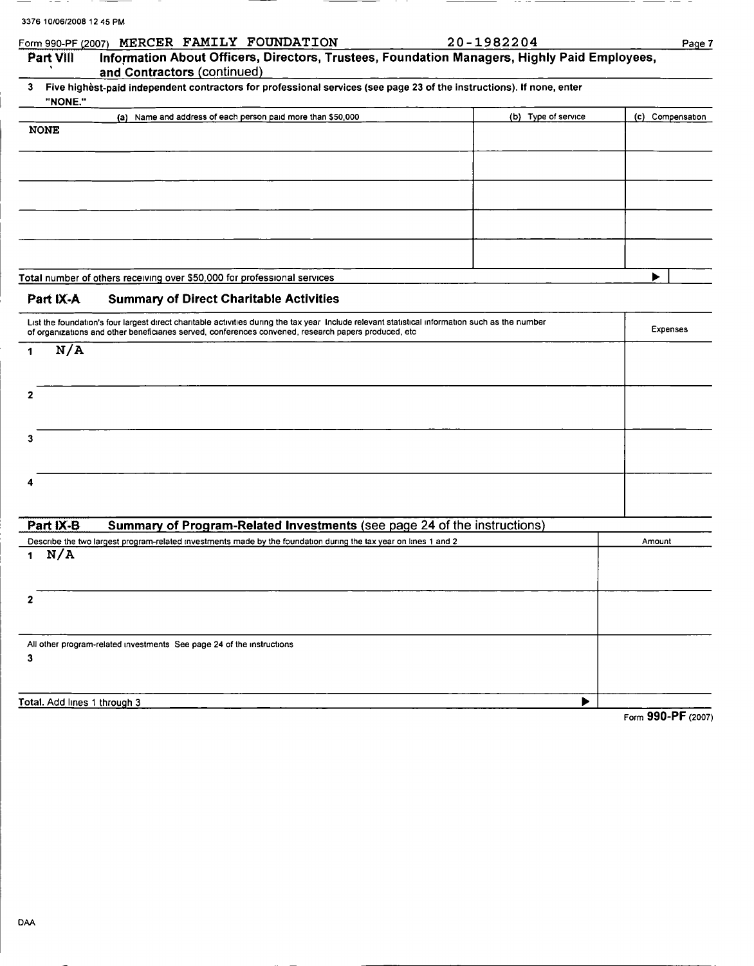| 3376 10/06/2008 12 45 PM        | MERCER FAMILY FOUNDATION                                                                                                                                                                                                                                | 20-1982204          |                    |
|---------------------------------|---------------------------------------------------------------------------------------------------------------------------------------------------------------------------------------------------------------------------------------------------------|---------------------|--------------------|
| Form 990-PF (2007)<br>Part VIII | Information About Officers, Directors, Trustees, Foundation Managers, Highly Paid Employees,<br>and Contractors (continued)                                                                                                                             |                     | Page 7             |
| 3<br>"NONE."                    | Five highest-paid independent contractors for professional services (see page 23 of the instructions). If none, enter                                                                                                                                   |                     |                    |
|                                 | (a) Name and address of each person paid more than \$50,000                                                                                                                                                                                             | (b) Type of service | (c) Compensation   |
| <b>NONE</b>                     |                                                                                                                                                                                                                                                         |                     |                    |
|                                 |                                                                                                                                                                                                                                                         |                     |                    |
|                                 |                                                                                                                                                                                                                                                         |                     |                    |
|                                 |                                                                                                                                                                                                                                                         |                     |                    |
|                                 | Total number of others receiving over \$50,000 for professional services                                                                                                                                                                                |                     | ▶                  |
| Part IX-A                       | <b>Summary of Direct Charitable Activities</b>                                                                                                                                                                                                          |                     |                    |
|                                 | List the foundation's four largest direct charitable activities during the tax year Include relevant statistical information such as the number<br>of organizations and other beneficiaries served, conferences convened, research papers produced, etc |                     | Expenses           |
| N/A<br>1                        |                                                                                                                                                                                                                                                         |                     |                    |
| 2                               |                                                                                                                                                                                                                                                         |                     |                    |
| 3                               |                                                                                                                                                                                                                                                         |                     |                    |
|                                 |                                                                                                                                                                                                                                                         |                     |                    |
|                                 |                                                                                                                                                                                                                                                         |                     |                    |
| Part IX-B                       | Summary of Program-Related Investments (see page 24 of the instructions)                                                                                                                                                                                |                     |                    |
| N/A<br>1                        | Describe the two largest program-related investments made by the foundation during the tax year on lines 1 and 2                                                                                                                                        |                     | Amount             |
| $\mathbf{2}$                    |                                                                                                                                                                                                                                                         |                     |                    |
| 3                               | All other program-related investments See page 24 of the instructions                                                                                                                                                                                   |                     |                    |
|                                 |                                                                                                                                                                                                                                                         |                     |                    |
| Total. Add lines 1 through 3    |                                                                                                                                                                                                                                                         | ▶                   |                    |
|                                 |                                                                                                                                                                                                                                                         |                     | Form 990-PF (2007) |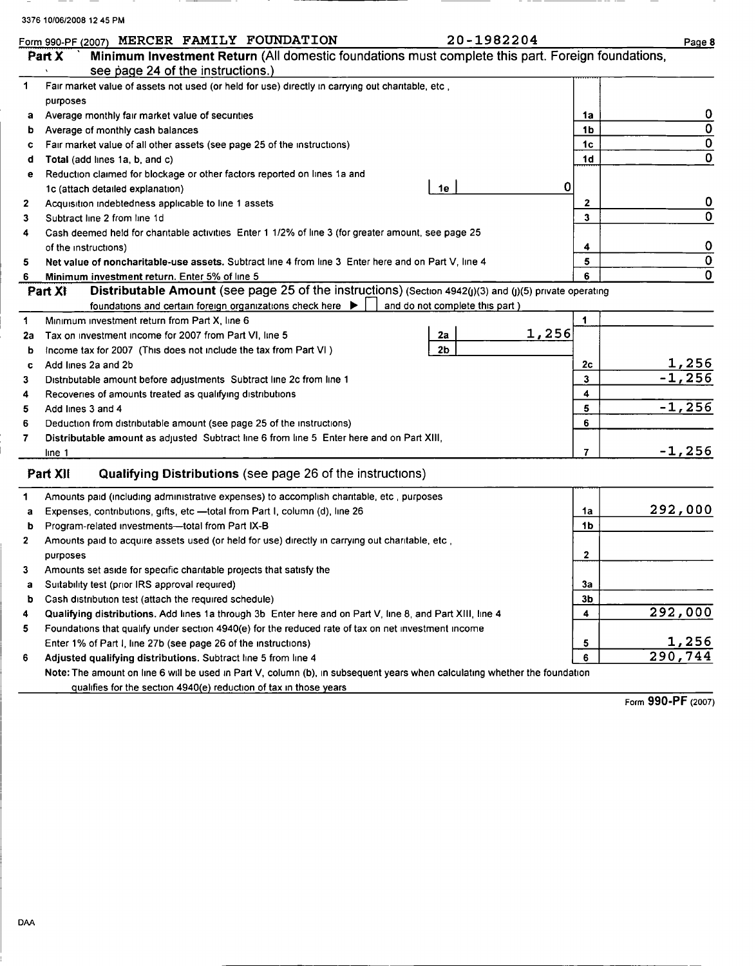|   | Form 990-PF (2007)<br>Minimum Investment Return (All domestic foundations must complete this part. Foreign foundations,<br>Part X |    | Page 8 |
|---|-----------------------------------------------------------------------------------------------------------------------------------|----|--------|
|   | see page 24 of the instructions.)                                                                                                 |    |        |
|   | Fair market value of assets not used (or held for use) directly in carrying out charitable, etc,                                  |    |        |
|   | purposes                                                                                                                          |    |        |
| а | Average monthly fair market value of securities                                                                                   | 1a | 0      |
| b | Average of monthly cash balances                                                                                                  | 1b |        |
| c | Fair market value of all other assets (see page 25 of the instructions)                                                           | 1c |        |
| d | Total (add lines 1a, b, and c)                                                                                                    | 1d |        |
| е | Reduction claimed for blockage or other factors reported on lines 1a and                                                          |    |        |
|   | 1e<br>1c (attach detailed explanation)                                                                                            |    |        |
|   | Acquisition indebtedness applicable to line 1 assets                                                                              |    | 0      |
|   | Subtract line 2 from line 1d                                                                                                      |    |        |
|   | Cash deemed held for charitable activities Enter 1 1/2% of line 3 (for greater amount, see page 25                                |    |        |
|   |                                                                                                                                   |    |        |

| J.       | Subtract line 2 from line to                                                                                               | J              | v              |
|----------|----------------------------------------------------------------------------------------------------------------------------|----------------|----------------|
| 4        | Cash deemed held for charitable activities Enter 1 1/2% of line 3 (for greater amount, see page 25                         |                |                |
|          | of the instructions)                                                                                                       | 4              | 0              |
| 5        | Net value of noncharitable-use assets. Subtract line 4 from line 3 Enter here and on Part V, line 4                        | 5              | $\overline{0}$ |
| 6        | Minimum investment return. Enter 5% of line 5                                                                              | 6.             | $\mathbf 0$    |
|          | Distributable Amount (see page 25 of the instructions) (Section 4942(j)(3) and (j)(5) private operating<br>Part XI         |                |                |
|          | foundations and certain foreign organizations check here $\blacktriangleright$<br>and do not complete this part)           |                |                |
| 1        | Minimum investment return from Part X, line 6                                                                              |                |                |
| 2a       | 1,256<br>Tax on investment income for 2007 from Part VI, line 5<br>2a                                                      |                |                |
| b        | 2 <sub>b</sub><br>Income tax for 2007 (This does not include the tax from Part VI)                                         |                |                |
| <b>C</b> | Add lines 2a and 2b                                                                                                        | 2c             | 1,256          |
| 3        | Distributable amount before adjustments Subtract line 2c from line 1                                                       | 3              | $-1,256$       |
| 4        | Recoveries of amounts treated as qualifying distributions                                                                  | 4              |                |
| 5.       | Add lines 3 and 4                                                                                                          | 5              | $-1,256$       |
| 6        | Deduction from distributable amount (see page 25 of the instructions)                                                      | 6              |                |
| 7        | Distributable amount as adjusted Subtract line 6 from line 5 Enter here and on Part XIII,                                  |                |                |
|          | line 1                                                                                                                     | 7              | $-1,256$       |
|          |                                                                                                                            |                |                |
|          | Qualifying Distributions (see page 26 of the instructions)<br>Part XII                                                     |                |                |
| 1        | Amounts paid (including administrative expenses) to accomplish charitable, etc., purposes                                  |                |                |
| a        | Expenses, contributions, gifts, etc - total from Part I, column (d), line 26                                               | 1a             | 292,000        |
| b        | Program-related investments-total from Part IX-B                                                                           | 1 <sub>b</sub> |                |
| 2        | Amounts paid to acquire assets used (or held for use) directly in carrying out charitable, etc,                            |                |                |
|          | purposes                                                                                                                   | $\mathbf{2}$   |                |
| 3        | Amounts set aside for specific charitable projects that satisfy the                                                        |                |                |
| a        | Suitability test (prior IRS approval required)                                                                             | За             |                |
| b        | Cash distribution test (attach the required schedule)                                                                      | 3 <sub>b</sub> |                |
| 4        | Qualifying distributions. Add lines 1a through 3b Enter here and on Part V, line 8, and Part XIII, line 4                  | 4              | 292,000        |
| 5        | Foundations that qualify under section 4940(e) for the reduced rate of tax on net investment income                        |                |                |
|          | Enter 1% of Part I, line 27b (see page 26 of the instructions)                                                             | 5              | 1,256          |
| 6        | Adjusted qualifying distributions. Subtract line 5 from line 4                                                             | 6              | 290,744        |
|          | Note: The amount on line 6 will be used in Part V, column (b), in subsequent years when calculating whether the foundation |                |                |

qualifies for the section 4940(e) reduction of tax in those years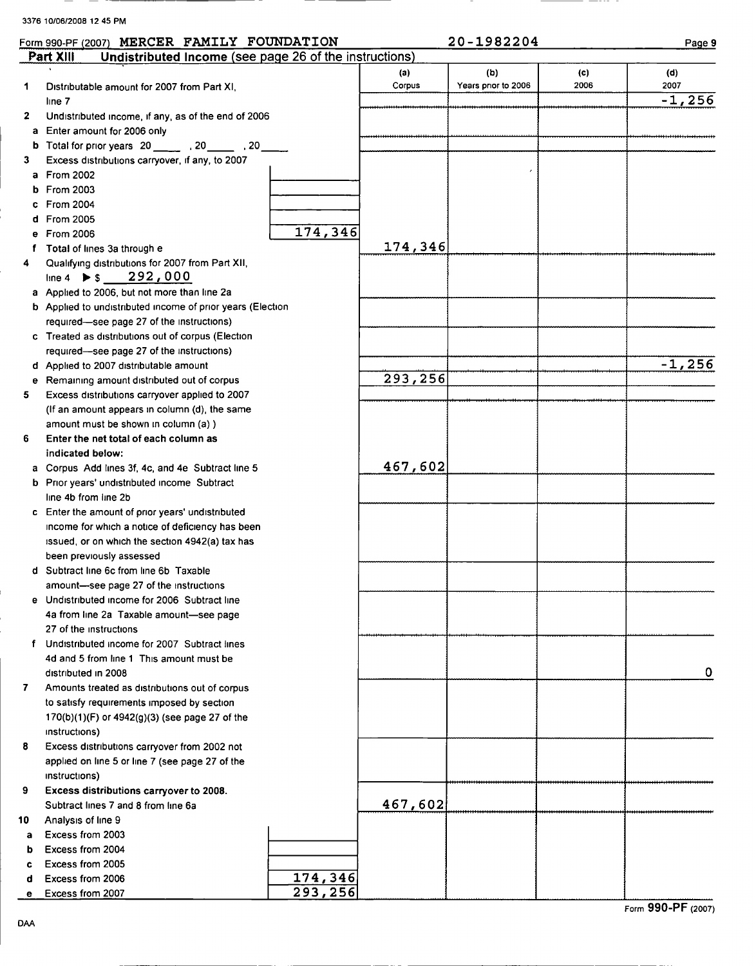#### ER FAMILY FOUNDATION 20-1982204

|--|

|        | <u>Part XIII</u><br>Undistributed Income (see page 26 of the instructions)  |         |               |                           |             |             |
|--------|-----------------------------------------------------------------------------|---------|---------------|---------------------------|-------------|-------------|
| 1      | Distributable amount for 2007 from Part XI,                                 |         | (a)<br>Corpus | (b)<br>Years pnor to 2006 | (c)<br>2006 | (d)<br>2007 |
|        | line 7                                                                      |         |               |                           |             | $-1,256$    |
| 2      | Undistributed income, if any, as of the end of 2006                         |         |               |                           |             |             |
| а      | Enter amount for 2006 only                                                  |         |               |                           |             |             |
| b      | Total for prior years 20 _______ , 20 _____ , 20                            |         |               |                           |             |             |
| 3      | Excess distributions carryover, if any, to 2007                             |         |               |                           |             |             |
| a      | <b>From 2002</b>                                                            |         |               |                           |             |             |
| b      | From 2003                                                                   |         |               |                           |             |             |
| c      | From 2004                                                                   |         |               |                           |             |             |
| d      | <b>From 2005</b>                                                            |         |               |                           |             |             |
| е      | <b>From 2006</b>                                                            | 174,346 |               |                           |             |             |
| f.     | Total of lines 3a through e                                                 |         | 174,346       |                           |             |             |
| 4      | Qualifying distributions for 2007 from Part XII,                            |         |               |                           |             |             |
|        | line 4 $\triangleright$ \$ 292,000                                          |         |               |                           |             |             |
|        | a Applied to 2006, but not more than line 2a                                |         |               |                           |             |             |
|        | b Applied to undistributed income of prior years (Election                  |         |               |                           |             |             |
|        | required-see page 27 of the instructions)                                   |         |               |                           |             |             |
|        | c Treated as distributions out of corpus (Election                          |         |               |                           |             |             |
|        | required-see page 27 of the instructions)                                   |         |               |                           |             |             |
|        | d Applied to 2007 distributable amount                                      |         |               |                           |             | $-1,256$    |
| е      | Remaining amount distributed out of corpus                                  |         | 293,256       |                           |             |             |
| 5.     | Excess distributions carryover applied to 2007                              |         |               |                           |             |             |
|        | (If an amount appears in column (d), the same                               |         |               |                           |             |             |
|        | amount must be shown in column (a) )                                        |         |               |                           |             |             |
| 6      | Enter the net total of each column as                                       |         |               |                           |             |             |
|        | indicated below:                                                            |         | 467,602       |                           |             |             |
|        | a Corpus Add lines 3f, 4c, and 4e Subtract line 5                           |         |               |                           |             |             |
|        | <b>b</b> Prior years' undistributed income Subtract<br>line 4b from line 2b |         |               |                           |             |             |
|        | c Enter the amount of prior years' undistributed                            |         |               |                           |             |             |
|        | income for which a notice of deficiency has been                            |         |               |                           |             |             |
|        | issued, or on which the section 4942(a) tax has                             |         |               |                           |             |             |
|        | been previously assessed                                                    |         |               |                           |             |             |
|        | d Subtract line 6c from line 6b Taxable                                     |         |               |                           |             |             |
|        | amount-see page 27 of the instructions                                      |         |               |                           |             |             |
|        | e Undistributed income for 2006 Subtract line                               |         |               |                           |             |             |
|        | 4a from line 2a Taxable amount-see page                                     |         |               |                           |             |             |
|        | 27 of the instructions                                                      |         |               |                           |             |             |
| f      | Undistributed income for 2007 Subtract lines                                |         |               |                           |             |             |
|        | 4d and 5 from line 1 This amount must be                                    |         |               |                           |             |             |
|        | distributed in 2008                                                         |         |               |                           |             | 0           |
| 7      | Amounts treated as distributions out of corpus                              |         |               |                           |             |             |
|        | to satisfy requirements imposed by section                                  |         |               |                           |             |             |
|        | $170(b)(1)(F)$ or $4942(g)(3)$ (see page 27 of the                          |         |               |                           |             |             |
|        | instructions)                                                               |         |               |                           |             |             |
| 8      | Excess distributions carryover from 2002 not                                |         |               |                           |             |             |
|        | applied on line 5 or line 7 (see page 27 of the                             |         |               |                           |             |             |
|        | instructions)                                                               |         |               |                           |             |             |
| 9      | Excess distributions carryover to 2008.                                     |         |               |                           |             |             |
|        | Subtract lines 7 and 8 from line 6a                                         |         | 467,602       |                           |             |             |
| 10     | Analysis of line 9                                                          |         |               |                           |             |             |
| a      | Excess from 2003                                                            |         |               |                           |             |             |
| b      | Excess from 2004<br>Excess from 2005                                        |         |               |                           |             |             |
| c      | Excess from 2006                                                            | 174,346 |               |                           |             |             |
| d<br>е | Excess from 2007                                                            | 293,256 |               |                           |             |             |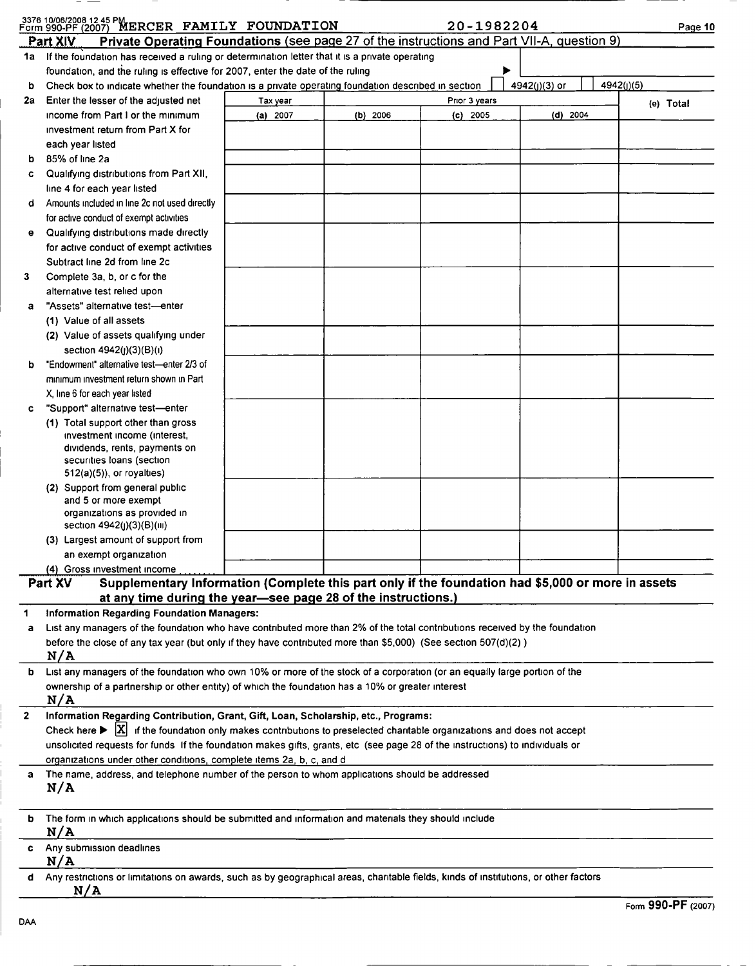|              | 3376 10/06/2008 12.45 PMERCER FAMILY FOUNDATION                                                                                                                           |                                                                                                        |            | 20-1982204    |               | Page 10    |
|--------------|---------------------------------------------------------------------------------------------------------------------------------------------------------------------------|--------------------------------------------------------------------------------------------------------|------------|---------------|---------------|------------|
|              | Private Operating Foundations (see page 27 of the instructions and Part VII-A, question 9)<br>Part XIV                                                                    |                                                                                                        |            |               |               |            |
| 1a l         | If the foundation has received a ruling or determination letter that it is a private operating                                                                            |                                                                                                        |            |               |               |            |
|              | foundation, and the ruling is effective for 2007, enter the date of the ruling                                                                                            |                                                                                                        |            | ▶             |               |            |
| b            | Check box to indicate whether the foundation is a private operating foundation described in section                                                                       |                                                                                                        |            |               | 4942(j)(3) or | 4942(j)(5) |
| 2a           | Enter the lesser of the adjusted net                                                                                                                                      | Tax year                                                                                               |            | Prior 3 years |               | (e) Total  |
|              | income from Part I or the minimum                                                                                                                                         | (a) 2007                                                                                               | $(b)$ 2006 | $(c)$ 2005    | $(d)$ 2004    |            |
|              | investment return from Part X for                                                                                                                                         |                                                                                                        |            |               |               |            |
|              | each year listed                                                                                                                                                          |                                                                                                        |            |               |               |            |
| b            | 85% of line 2a                                                                                                                                                            |                                                                                                        |            |               |               |            |
| c            | Qualifying distributions from Part XII,                                                                                                                                   |                                                                                                        |            |               |               |            |
|              | line 4 for each year listed                                                                                                                                               |                                                                                                        |            |               |               |            |
| d            | Amounts included in line 2c not used directly                                                                                                                             |                                                                                                        |            |               |               |            |
|              | for active conduct of exempt activities<br>Qualifying distributions made directly                                                                                         |                                                                                                        |            |               |               |            |
| e            | for active conduct of exempt activities                                                                                                                                   |                                                                                                        |            |               |               |            |
|              | Subtract line 2d from line 2c                                                                                                                                             |                                                                                                        |            |               |               |            |
| 3            | Complete 3a, b, or c for the                                                                                                                                              |                                                                                                        |            |               |               |            |
|              | alternative test relied upon                                                                                                                                              |                                                                                                        |            |               |               |            |
| a            | "Assets" alternative test-enter                                                                                                                                           |                                                                                                        |            |               |               |            |
|              | (1) Value of all assets                                                                                                                                                   |                                                                                                        |            |               |               |            |
|              | (2) Value of assets qualifying under                                                                                                                                      |                                                                                                        |            |               |               |            |
|              | section 4942(j)(3)(B)(i)                                                                                                                                                  |                                                                                                        |            |               |               |            |
| b            | "Endowment" alternative test-enter 2/3 of                                                                                                                                 |                                                                                                        |            |               |               |            |
|              | minimum investment return shown in Part                                                                                                                                   |                                                                                                        |            |               |               |            |
|              | X, line 6 for each year listed                                                                                                                                            |                                                                                                        |            |               |               |            |
| c            | "Support" alternative test-enter                                                                                                                                          |                                                                                                        |            |               |               |            |
|              | (1) Total support other than gross<br>investment income (interest,                                                                                                        |                                                                                                        |            |               |               |            |
|              | dividends, rents, payments on                                                                                                                                             |                                                                                                        |            |               |               |            |
|              | securities loans (section                                                                                                                                                 |                                                                                                        |            |               |               |            |
|              | $512(a)(5)$ , or royalties)                                                                                                                                               |                                                                                                        |            |               |               |            |
|              | (2) Support from general public                                                                                                                                           |                                                                                                        |            |               |               |            |
|              | and 5 or more exempt<br>organizations as provided in                                                                                                                      |                                                                                                        |            |               |               |            |
|              | section 4942(j)(3)(B)(iii)                                                                                                                                                |                                                                                                        |            |               |               |            |
|              | (3) Largest amount of support from                                                                                                                                        |                                                                                                        |            |               |               |            |
|              | an exempt organization                                                                                                                                                    |                                                                                                        |            |               |               |            |
|              | (4) Gross investment income                                                                                                                                               |                                                                                                        |            |               |               |            |
|              | Supplementary Information (Complete this part only if the foundation had \$5,000 or more in assets<br>Part XV                                                             |                                                                                                        |            |               |               |            |
|              | at any time during the year-see page 28 of the instructions.)                                                                                                             |                                                                                                        |            |               |               |            |
| 1<br>а       | Information Regarding Foundation Managers:<br>List any managers of the foundation who have contributed more than 2% of the total contributions received by the foundation |                                                                                                        |            |               |               |            |
|              | before the close of any tax year (but only if they have contributed more than \$5,000) (See section 507(d)(2))                                                            |                                                                                                        |            |               |               |            |
|              | N/A                                                                                                                                                                       |                                                                                                        |            |               |               |            |
| b            | List any managers of the foundation who own 10% or more of the stock of a corporation (or an equally large portion of the                                                 |                                                                                                        |            |               |               |            |
|              | ownership of a partnership or other entity) of which the foundation has a 10% or greater interest                                                                         |                                                                                                        |            |               |               |            |
|              | N/A                                                                                                                                                                       |                                                                                                        |            |               |               |            |
| $\mathbf{z}$ | Information Regarding Contribution, Grant, Gift, Loan, Scholarship, etc., Programs:                                                                                       |                                                                                                        |            |               |               |            |
|              | Check here $\blacktriangleright$ $ X $                                                                                                                                    | if the foundation only makes contributions to preselected charitable organizations and does not accept |            |               |               |            |
|              | unsolicited requests for funds If the foundation makes gifts, grants, etc (see page 28 of the instructions) to individuals or                                             |                                                                                                        |            |               |               |            |
|              | organizations under other conditions, complete items 2a, b, c, and d                                                                                                      |                                                                                                        |            |               |               |            |
| a            | The name, address, and telephone number of the person to whom applications should be addressed<br>N/A                                                                     |                                                                                                        |            |               |               |            |
|              |                                                                                                                                                                           |                                                                                                        |            |               |               |            |
| b            | The form in which applications should be submitted and information and materials they should include                                                                      |                                                                                                        |            |               |               |            |
|              | N/A                                                                                                                                                                       |                                                                                                        |            |               |               |            |
|              | c Any submission deadlines                                                                                                                                                |                                                                                                        |            |               |               |            |
|              | N/A<br>d Any restrictions or limitations on awards, such as by geographical areas, charitable fields, kinds of institutions, or other factors                             |                                                                                                        |            |               |               |            |
|              | N/A                                                                                                                                                                       |                                                                                                        |            |               |               |            |

 $-$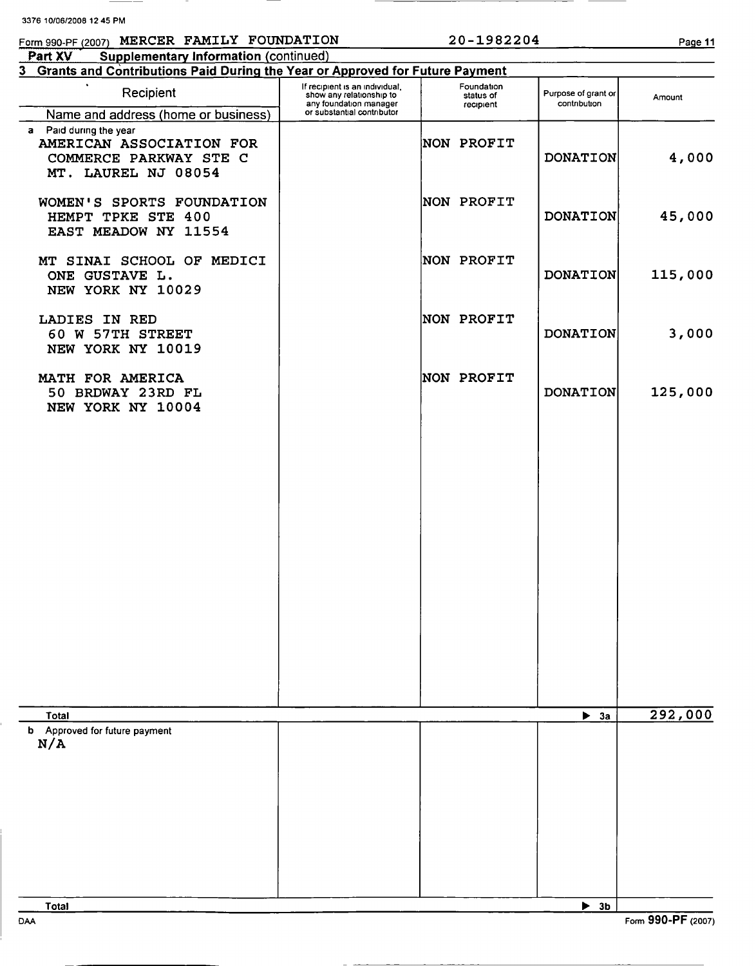# Form 990-PF (2007) MERCER FAMILY FOUNDATION 20-1982204 Page 11

 $\overline{\phantom{a}}$ 

Part XV Supplementary Information (continued)

| 3 Grants and Contributions Paid During the Year or Approved for Future Payment                      |                                                                                      |                                      |                                     |         |
|-----------------------------------------------------------------------------------------------------|--------------------------------------------------------------------------------------|--------------------------------------|-------------------------------------|---------|
| Recipient                                                                                           | If recipient is an individual,<br>show any relationship to<br>any foundation manager | Foundation<br>status of<br>recipient | Purpose of grant or<br>contribution | Amount  |
| Name and address (home or business)                                                                 | or substantial contributor                                                           |                                      |                                     |         |
| a Paid during the year<br>AMERICAN ASSOCIATION FOR<br>COMMERCE PARKWAY STE C<br>MT. LAUREL NJ 08054 |                                                                                      | NON PROFIT                           | <b>DONATION</b>                     | 4,000   |
| WOMEN'S SPORTS FOUNDATION<br>HEMPT TPKE STE 400<br>EAST MEADOW NY 11554                             |                                                                                      | NON PROFIT                           | <b>DONATION</b>                     | 45,000  |
| MT SINAI SCHOOL OF MEDICI<br>ONE GUSTAVE L.<br>NEW YORK NY 10029                                    |                                                                                      | NON PROFIT                           | <b>DONATION</b>                     | 115,000 |
| LADIES IN RED<br>60 W 57TH STREET<br>NEW YORK NY 10019                                              |                                                                                      | NON PROFIT                           | <b>DONATION</b>                     | 3,000   |
| MATH FOR AMERICA<br>50 BRDWAY 23RD FL<br>NEW YORK NY 10004                                          |                                                                                      | NON PROFIT                           | <b>DONATION</b>                     | 125,000 |
|                                                                                                     |                                                                                      |                                      |                                     |         |
|                                                                                                     |                                                                                      |                                      |                                     |         |
|                                                                                                     |                                                                                      |                                      |                                     |         |
|                                                                                                     |                                                                                      |                                      |                                     |         |
|                                                                                                     |                                                                                      |                                      |                                     |         |
|                                                                                                     |                                                                                      |                                      |                                     |         |
| Total                                                                                               |                                                                                      |                                      | $\blacktriangleright$ 3a            | 292,000 |
| b Approved for future payment<br>N/A                                                                |                                                                                      |                                      |                                     |         |
|                                                                                                     |                                                                                      |                                      |                                     |         |
|                                                                                                     |                                                                                      |                                      |                                     |         |
|                                                                                                     |                                                                                      |                                      |                                     |         |
|                                                                                                     |                                                                                      |                                      |                                     |         |
| Total                                                                                               |                                                                                      |                                      | $\blacktriangleright$ 3b            |         |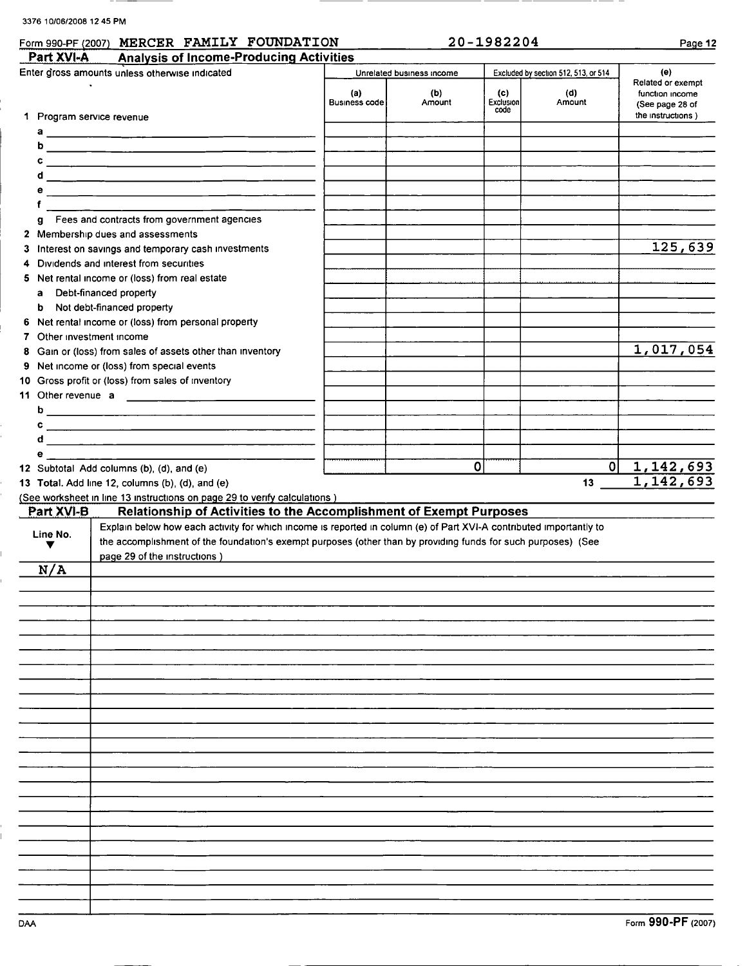| Form 990-PF (2007) |  | MERCER FAMILY FOUNDATION | 982204<br>20- | $9a$ age 12 |
|--------------------|--|--------------------------|---------------|-------------|
|                    |  |                          |               |             |

| 20-1982204 |  |
|------------|--|
|------------|--|

| Part XVI-A                | <b>Analysis of Income-Producing Activities</b>                                                                        |                             |                           |                         |                                      |                                                         |
|---------------------------|-----------------------------------------------------------------------------------------------------------------------|-----------------------------|---------------------------|-------------------------|--------------------------------------|---------------------------------------------------------|
|                           | Enter gross amounts unless otherwise indicated                                                                        |                             | Unrelated business income |                         | Excluded by section 512, 513, or 514 | (e)                                                     |
|                           |                                                                                                                       | (a)<br><b>Business code</b> | (b)<br>Amount             | (c)<br><b>Exclusion</b> | (d)<br>Amount                        | Related or exempt<br>function income<br>(See page 28 of |
| 1 Program service revenue |                                                                                                                       |                             |                           | code                    |                                      | the instructions)                                       |
|                           |                                                                                                                       |                             |                           |                         |                                      |                                                         |
| b.                        |                                                                                                                       |                             |                           |                         |                                      |                                                         |
|                           |                                                                                                                       |                             |                           |                         |                                      |                                                         |
|                           |                                                                                                                       |                             |                           |                         |                                      |                                                         |
| е                         | <u> 1980 - Jan Sterling, mars et al. 1980 - anno 1980 - anno 1980 - anno 1980 - anno 1980 - anno 1980 - anno 1980</u> |                             |                           |                         |                                      |                                                         |
| f                         |                                                                                                                       |                             |                           |                         |                                      |                                                         |
| g                         | Fees and contracts from government agencies                                                                           |                             |                           |                         |                                      |                                                         |
|                           | 2 Membership dues and assessments                                                                                     |                             |                           |                         |                                      |                                                         |
| 3                         | Interest on savings and temporary cash investments                                                                    |                             |                           |                         |                                      | 125,639                                                 |
| 4                         | Dividends and interest from securities                                                                                |                             |                           |                         |                                      |                                                         |
| 5                         | Net rental income or (loss) from real estate                                                                          |                             |                           |                         |                                      |                                                         |
| a                         | Debt-financed property                                                                                                |                             |                           |                         |                                      |                                                         |
| b                         | Not debt-financed property                                                                                            |                             |                           |                         |                                      |                                                         |
| 6                         | Net rental income or (loss) from personal property                                                                    |                             |                           |                         |                                      |                                                         |
| 7 Other investment income |                                                                                                                       |                             |                           |                         |                                      | 1,017,054                                               |
| 8                         | Gain or (loss) from sales of assets other than inventory                                                              |                             |                           |                         |                                      |                                                         |
|                           | 9 Net income or (loss) from special events<br>10 Gross profit or (loss) from sales of inventory                       |                             |                           |                         |                                      |                                                         |
|                           |                                                                                                                       |                             |                           |                         |                                      |                                                         |
|                           | 11 Other revenue a                                                                                                    |                             |                           |                         |                                      |                                                         |
|                           | $\circ$ $\overline{\phantom{a}}$                                                                                      |                             |                           |                         |                                      |                                                         |
|                           |                                                                                                                       |                             |                           |                         |                                      |                                                         |
| e –                       |                                                                                                                       |                             |                           |                         |                                      |                                                         |
|                           | 12 Subtotal Add columns (b), (d), and (e)                                                                             |                             | 0                         |                         |                                      | $0 \mid 1,142,693$                                      |
|                           | 13 Total. Add line 12, columns (b), (d), and (e)                                                                      |                             |                           |                         |                                      | 1,142,693                                               |
|                           | (See worksheet in line 13 instructions on page 29 to verify calculations)                                             |                             |                           |                         |                                      |                                                         |
| Part XVI-B                | Relationship of Activities to the Accomplishment of Exempt Purposes                                                   |                             |                           |                         |                                      |                                                         |
|                           | Explain below how each activity for which income is reported in column (e) of Part XVI-A contributed importantly to   |                             |                           |                         |                                      |                                                         |
| Line No.<br>▼             | the accomplishment of the foundation's exempt purposes (other than by providing funds for such purposes) (See         |                             |                           |                         |                                      |                                                         |
|                           | page 29 of the instructions)                                                                                          |                             |                           |                         |                                      |                                                         |
| N/A                       |                                                                                                                       |                             |                           |                         |                                      |                                                         |
|                           |                                                                                                                       |                             |                           |                         |                                      |                                                         |
|                           |                                                                                                                       |                             |                           |                         |                                      |                                                         |
|                           |                                                                                                                       |                             |                           |                         |                                      |                                                         |
|                           |                                                                                                                       |                             |                           |                         |                                      |                                                         |
|                           |                                                                                                                       |                             |                           |                         |                                      |                                                         |
|                           |                                                                                                                       |                             |                           |                         |                                      |                                                         |
|                           |                                                                                                                       |                             |                           |                         |                                      |                                                         |
|                           |                                                                                                                       |                             |                           |                         |                                      |                                                         |
|                           |                                                                                                                       |                             |                           |                         |                                      |                                                         |
|                           |                                                                                                                       |                             |                           |                         |                                      |                                                         |
|                           |                                                                                                                       |                             |                           |                         |                                      |                                                         |
|                           |                                                                                                                       |                             |                           |                         |                                      |                                                         |
|                           |                                                                                                                       |                             |                           |                         |                                      |                                                         |
|                           |                                                                                                                       |                             |                           |                         |                                      |                                                         |
|                           |                                                                                                                       |                             |                           |                         |                                      |                                                         |
|                           |                                                                                                                       |                             |                           |                         |                                      |                                                         |
|                           |                                                                                                                       |                             |                           |                         |                                      |                                                         |
|                           |                                                                                                                       |                             |                           |                         |                                      |                                                         |
|                           |                                                                                                                       |                             |                           |                         |                                      |                                                         |
|                           |                                                                                                                       |                             |                           |                         |                                      |                                                         |
|                           |                                                                                                                       |                             |                           |                         |                                      |                                                         |
|                           |                                                                                                                       |                             |                           |                         |                                      |                                                         |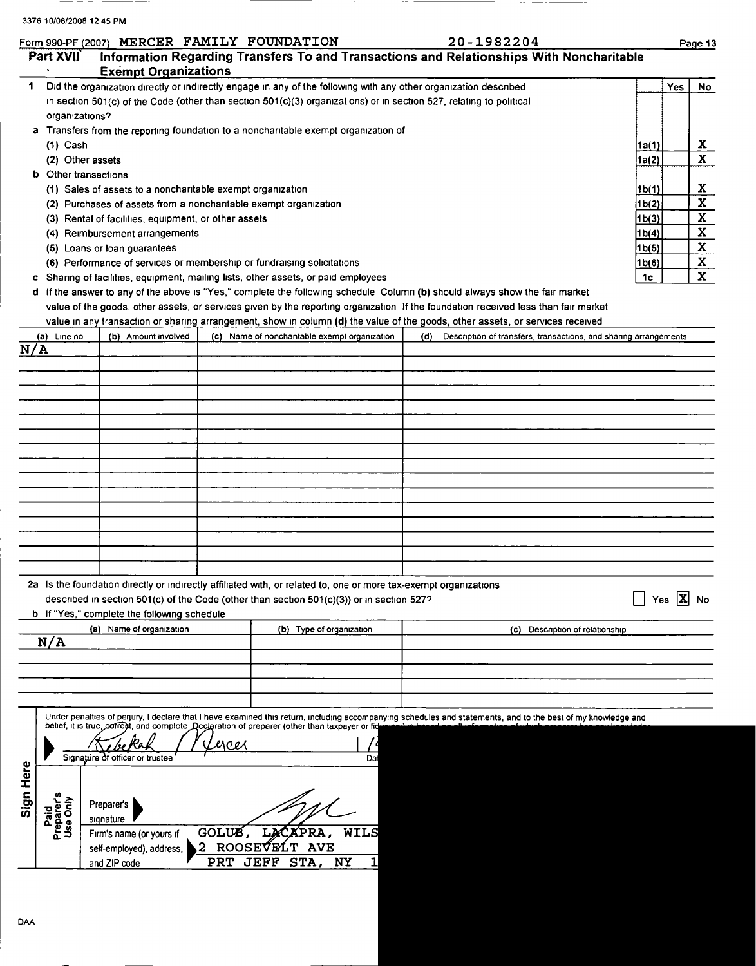|  | orm 990-PF (2007) MERCER FAMILY FOUNDATION |
|--|--------------------------------------------|

|                                |                                                      | Form 990-PF (2007) MERCER FAMILY FOUNDATION                                                                         | 20-1982204                                                                                                                                                   | Page 13                                       |
|--------------------------------|------------------------------------------------------|---------------------------------------------------------------------------------------------------------------------|--------------------------------------------------------------------------------------------------------------------------------------------------------------|-----------------------------------------------|
| Part XVII<br>$\bullet$         | <b>Exempt Organizations</b>                          |                                                                                                                     | Information Regarding Transfers To and Transactions and Relationships With Noncharitable                                                                     |                                               |
| 1                              |                                                      | Did the organization directly or indirectly engage in any of the following with any other organization described    |                                                                                                                                                              | <b>Yes</b><br><b>No</b>                       |
|                                |                                                      | in section 501(c) of the Code (other than section 501(c)(3) organizations) or in section 527, relating to political |                                                                                                                                                              |                                               |
| organizations?                 |                                                      |                                                                                                                     |                                                                                                                                                              |                                               |
|                                |                                                      | a Transfers from the reporting foundation to a noncharitable exempt organization of                                 |                                                                                                                                                              |                                               |
| $(1)$ Cash                     |                                                      |                                                                                                                     |                                                                                                                                                              | x<br>1a(1)                                    |
|                                | (2) Other assets                                     |                                                                                                                     |                                                                                                                                                              | $\mathbf x$<br>1a(2)                          |
| <b>b</b> Other transactions    |                                                      |                                                                                                                     |                                                                                                                                                              |                                               |
|                                |                                                      | (1) Sales of assets to a noncharitable exempt organization                                                          |                                                                                                                                                              | x<br>1 <sub>b(1)</sub>                        |
|                                |                                                      | (2) Purchases of assets from a noncharitable exempt organization                                                    |                                                                                                                                                              | $\overline{\mathbf{x}}$<br>1b(2)              |
|                                | (3) Rental of facilities, equipment, or other assets |                                                                                                                     |                                                                                                                                                              | $\overline{\mathbf{x}}$<br>1 <sub>b</sub> (3) |
|                                | (4) Reimbursement arrangements                       |                                                                                                                     |                                                                                                                                                              | $\overline{\mathbf{x}}$<br>1b(4)              |
|                                | (5) Loans or loan guarantees                         |                                                                                                                     |                                                                                                                                                              | X<br>1 <sub>b(5)</sub>                        |
|                                |                                                      | (6) Performance of services or membership or fundraising solicitations                                              |                                                                                                                                                              | $\mathbf{x}$<br>1b(6)                         |
|                                |                                                      | c Sharing of facilities, equipment, mailing lists, other assets, or paid employees                                  |                                                                                                                                                              | X<br>1c                                       |
|                                |                                                      |                                                                                                                     | d If the answer to any of the above is "Yes," complete the following schedule Column (b) should always show the fair market                                  |                                               |
|                                |                                                      |                                                                                                                     | value of the goods, other assets, or services given by the reporting organization If the foundation received less than fair market                           |                                               |
| (a) Line no                    |                                                      |                                                                                                                     | value in any transaction or sharing arrangement, show in column (d) the value of the goods, other assets, or services received                               |                                               |
| N/A                            | (b) Amount involved                                  | (c) Name of noncharitable exempt organization                                                                       | (d)<br>Description of transfers, transactions, and sharing arrangements                                                                                      |                                               |
|                                |                                                      |                                                                                                                     |                                                                                                                                                              |                                               |
|                                |                                                      |                                                                                                                     |                                                                                                                                                              |                                               |
|                                |                                                      |                                                                                                                     |                                                                                                                                                              |                                               |
|                                |                                                      |                                                                                                                     |                                                                                                                                                              |                                               |
|                                |                                                      |                                                                                                                     |                                                                                                                                                              |                                               |
|                                |                                                      |                                                                                                                     |                                                                                                                                                              |                                               |
|                                |                                                      |                                                                                                                     |                                                                                                                                                              |                                               |
|                                |                                                      |                                                                                                                     |                                                                                                                                                              |                                               |
|                                |                                                      |                                                                                                                     |                                                                                                                                                              |                                               |
|                                |                                                      |                                                                                                                     |                                                                                                                                                              |                                               |
|                                |                                                      |                                                                                                                     |                                                                                                                                                              |                                               |
|                                |                                                      |                                                                                                                     |                                                                                                                                                              |                                               |
|                                |                                                      |                                                                                                                     |                                                                                                                                                              |                                               |
|                                |                                                      | 2a Is the foundation directly or indirectly affiliated with, or related to, one or more tax-exempt organizations    |                                                                                                                                                              |                                               |
|                                |                                                      | described in section 501(c) of the Code (other than section $501(c)(3)$ ) or in section 527?                        |                                                                                                                                                              | $\vert x \vert$<br>No<br>Yes                  |
|                                | <b>b</b> If "Yes," complete the following schedule   |                                                                                                                     |                                                                                                                                                              |                                               |
|                                | (a) Name of organization                             | (b) Type of organization                                                                                            | (c) Description of relationship                                                                                                                              |                                               |
|                                |                                                      |                                                                                                                     |                                                                                                                                                              |                                               |
| N/A                            |                                                      |                                                                                                                     |                                                                                                                                                              |                                               |
|                                |                                                      |                                                                                                                     |                                                                                                                                                              |                                               |
|                                |                                                      |                                                                                                                     |                                                                                                                                                              |                                               |
|                                |                                                      |                                                                                                                     |                                                                                                                                                              |                                               |
|                                |                                                      | belief, it is true, coffect, and complete Declaration of preparer (other than taxpayer or fid                       | Under penalties of perjury, I declare that I have examined this return, including accompanying schedules and statements, and to the best of my knowledge and |                                               |
|                                |                                                      |                                                                                                                     |                                                                                                                                                              |                                               |
|                                |                                                      | yces                                                                                                                |                                                                                                                                                              |                                               |
|                                | Signature of officer or trustee                      |                                                                                                                     | Da                                                                                                                                                           |                                               |
|                                |                                                      |                                                                                                                     |                                                                                                                                                              |                                               |
|                                |                                                      |                                                                                                                     |                                                                                                                                                              |                                               |
|                                | Preparer's                                           |                                                                                                                     |                                                                                                                                                              |                                               |
|                                | signature                                            |                                                                                                                     |                                                                                                                                                              |                                               |
| Paid<br>Preparer's<br>Use Only | Firm's name (or yours if                             | GOLUS,<br>LACAPRA,<br>WILS                                                                                          |                                                                                                                                                              |                                               |
|                                | self-employed), address,<br>and ZIP code             | <b>ROOSEVELT</b><br><b>AVE</b><br>2<br><b>PRT</b><br><b>JEFF</b><br>STA,<br>NY                                      |                                                                                                                                                              |                                               |

----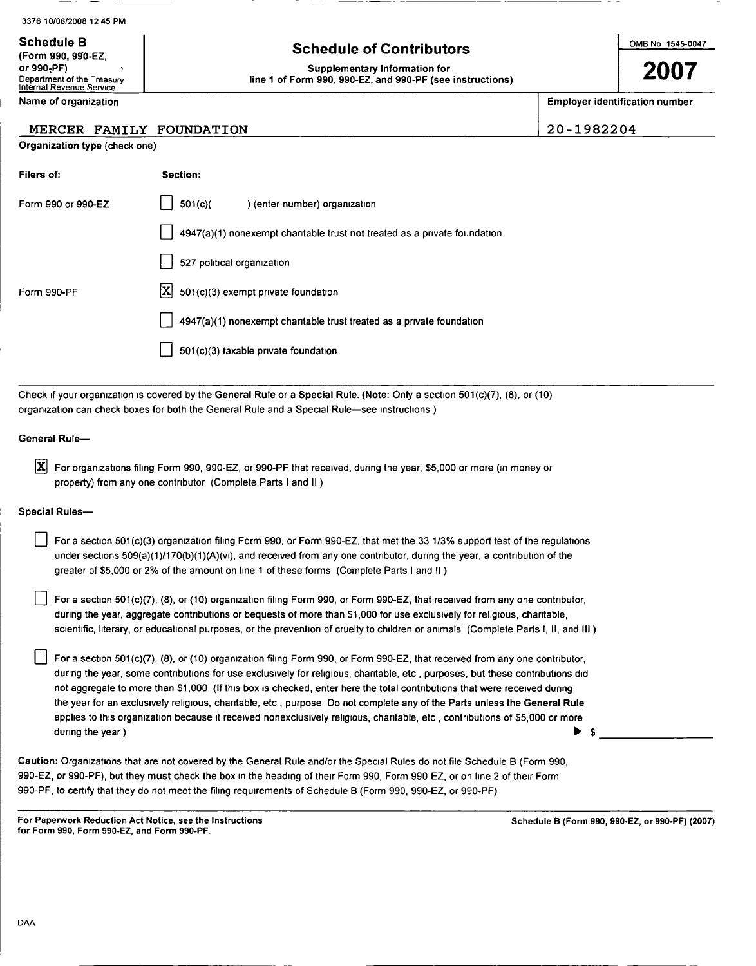|  | 3376 10/06/2008 12 45 PM |  |  |
|--|--------------------------|--|--|
|--|--------------------------|--|--|

# Schedule B OMB No 1545-0047 Schedule of Contributors Supplementary Information for

line 1 of Form 990, 990-EZ, and 990-PF (see instructions)

| 11 VIIII JJV, JJV-LL,      |  |
|----------------------------|--|
| or 990-PF)                 |  |
| Department of the Treasury |  |
| Internal Revenue Service   |  |

 $(6, 6)$  990, 900  $EZ$ 

### Name of organization examples and the set of organization number  $\parallel$  Employer identification number

### MERCER FAMILY FOUNDATION | 20-1982204

| Organization type (check one) |  |  |  |  |
|-------------------------------|--|--|--|--|
|-------------------------------|--|--|--|--|

| Filers of:         | Section:                                                                  |
|--------------------|---------------------------------------------------------------------------|
| Form 990 or 990-EZ | 501(c)<br>) (enter number) organization                                   |
|                    | 4947(a)(1) nonexempt charitable trust not treated as a private foundation |
|                    | 527 political organization                                                |
| Form 990-PF        | $ \mathbf{X} $ 501(c)(3) exempt private foundation                        |
|                    | 4947(a)(1) nonexempt charitable trust treated as a private foundation     |
|                    | 501(c)(3) taxable private foundation                                      |

Check if your organization is covered by the General Rule or a Special Rule. (Note: Only a section 501(c)(7), (8), or (10) organization can check boxes for both the General Rule and a Special Rule-see instructions )

#### General Rule-

 $\overline{X}$  For organizations filing Form 990, 990-EZ, or 990-PF that received, during the year, \$5,000 or more (in money or property) from any one contributor (Complete Parts <sup>I</sup> and II )

#### Special Rules-

| For a section 501(c)(3) organization filing Form 990, or Form 990-EZ, that met the 33 1/3% support test of the regulations |
|----------------------------------------------------------------------------------------------------------------------------|
| under sections $509(a)(1)/170(b)(1)(A)(v)$ , and received from any one contributor, during the year, a contribution of the |
| greater of \$5,000 or 2% of the amount on line 1 of these forms (Complete Parts I and II)                                  |

For a section 501(c)(7), (8), or (10) organization filing Form 990, or Form 990-EZ, that received from any one contributor. during the year, aggregate contributions or bequests of more than \$1,000 for use exclusively for religious, charitable, scientific, literary, or educational purposes, or the prevention of cruelty to children or animals (Complete Parts I, II, and III )

For a section 501(c)(7), (8), or (10) organization filing Form 990, or Form 990-EZ, that received from any one contributor, during the year, some contributions for use exclusively for religious, charitable, etc , purposes, but these contributions did not aggregate to more than \$1,000 (If this box is checked, enter here the total contributions that were received during the year for an exclusively religious, charitable, etc , purpose Do not complete any of the Parts unless the General Rule applies to this organization because it received nonexclusively religious, charitable, etc., contributions of \$5,000 or more during the year)  $\triangleright$  \$

Caution: Organizations that are not covered by the General Rule and/or the Special Rules do not file Schedule B (Form 990, 990-EZ, or 990-PF), but they must check the box in the heading of their Form 990, Form 990-EZ, or on line 2 of their Form 990-PF, to certify that they do not meet the filing requirements of Schedule B (Form 990, 990-EZ, or 990-PF)

For Paperwork Reduction Act Notice, see the Instructions for Form 990, Form 990-EZ, and Form 990-PF.

Schedule B (Form 990, 990-EZ, or 990-PF) (2007)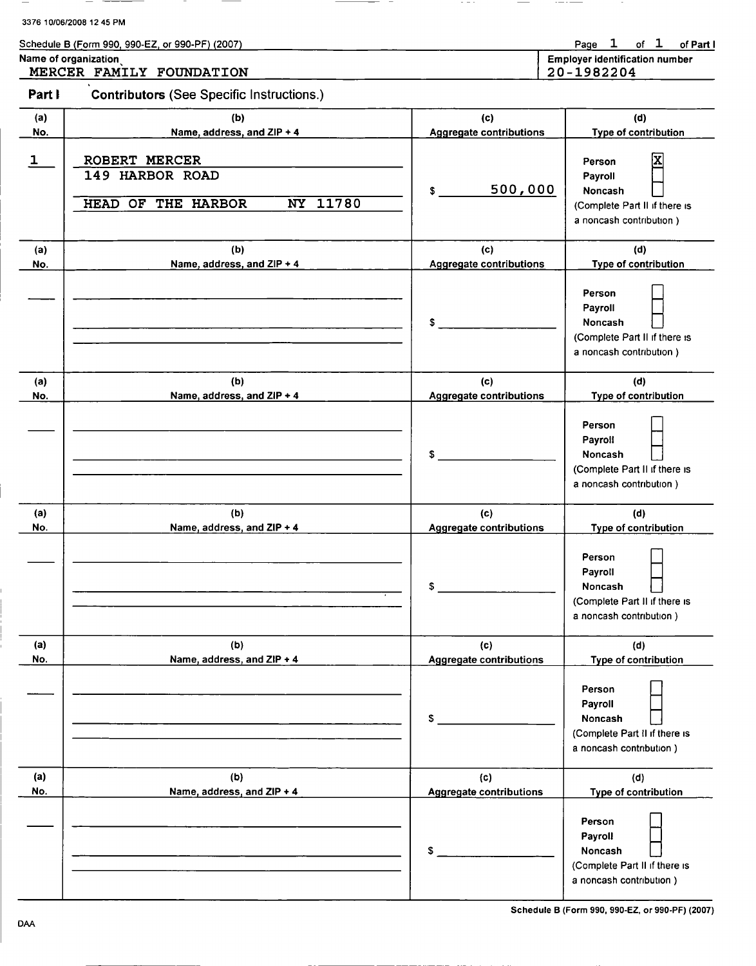| 3376 10/06/2008 12 45 PM |  |
|--------------------------|--|
|--------------------------|--|

| Schedule B (Form 990, 990-EZ, or 990-PF) (2007) |                                       |  | Page 1 of 1 of Part I |
|-------------------------------------------------|---------------------------------------|--|-----------------------|
| Name of organization                            | <b>Employer identification number</b> |  |                       |

MERCER FAMILY FOUNDATION 20-1982204

Part I Contributors (See Specific Instructions.)

| (a)          | (b)                                                                       | (d)<br>(c)                     |                                                                                               |  |  |  |  |
|--------------|---------------------------------------------------------------------------|--------------------------------|-----------------------------------------------------------------------------------------------|--|--|--|--|
| No.          | Name, address, and ZIP + 4                                                | <b>Aggregate contributions</b> | Type of contribution                                                                          |  |  |  |  |
| $\mathbf{1}$ | ROBERT MERCER<br>149 HARBOR ROAD<br><b>HEAD OF THE HARBOR</b><br>NY 11780 | 500,000<br>S                   | X<br>Person<br>Payroll<br>Noncash<br>(Complete Part II if there is<br>a noncash contribution) |  |  |  |  |
| (a)          | (b)                                                                       | (c)                            | (d)                                                                                           |  |  |  |  |
| No.          | Name, address, and ZIP + 4                                                | <b>Aggregate contributions</b> | Type of contribution                                                                          |  |  |  |  |
|              |                                                                           | \$                             | Person<br>Payroll<br>Noncash<br>(Complete Part II if there is<br>a noncash contribution)      |  |  |  |  |
| (a)          | (b)                                                                       | (c)                            | (d)                                                                                           |  |  |  |  |
| No.          | Name, address, and ZIP + 4                                                | <b>Aggregate contributions</b> | Type of contribution                                                                          |  |  |  |  |
|              |                                                                           | \$                             | Person<br>Payroll<br>Noncash<br>(Complete Part II if there is<br>a noncash contribution)      |  |  |  |  |
| (a)          | (b)                                                                       | (c)                            | (d)                                                                                           |  |  |  |  |
| No.          | Name, address, and ZIP + 4                                                | <b>Aggregate contributions</b> | Type of contribution                                                                          |  |  |  |  |
|              |                                                                           | S                              | Person<br>Payroll<br>Noncash<br>(Complete Part II if there is<br>a noncash contribution)      |  |  |  |  |
| (a)          | (b)                                                                       | (c)                            | (d)                                                                                           |  |  |  |  |
| No.          | Name, address, and ZIP + 4                                                | <b>Aggregate contributions</b> | Type of contribution                                                                          |  |  |  |  |
|              |                                                                           | \$.                            | Person<br>Payroll<br>Noncash<br>(Complete Part II if there is<br>a noncash contribution)      |  |  |  |  |
| (a)          | (b)                                                                       | (c)                            | (d)                                                                                           |  |  |  |  |
| No.          | Name, address, and ZIP + 4                                                | <b>Aggregate contributions</b> | Type of contribution                                                                          |  |  |  |  |
|              |                                                                           | \$.                            | Person<br>Payroll<br>Noncash<br>(Complete Part II if there is<br>a noncash contribution)      |  |  |  |  |

Schedule B (Form 990 , 990-EZ, or 990 -PF) (2007)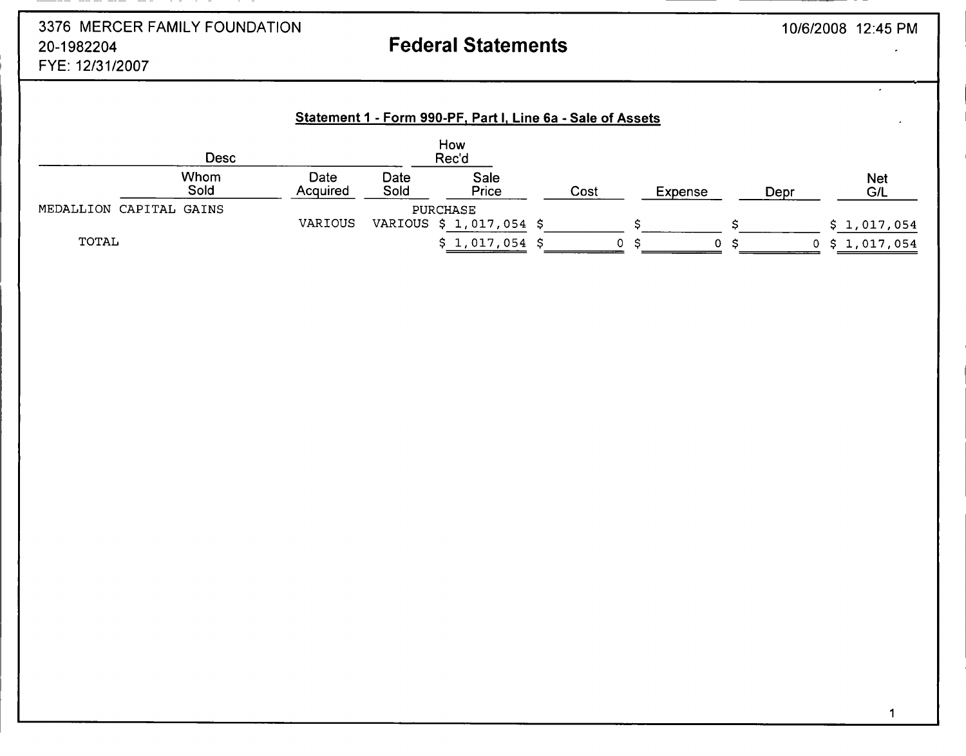# 3376 MERCER FAMILY FOUNDATION 20-1982204 FYE: 12/31/2007

# Federal Statements

 $\mathbf{r}$ 

|                         |              |                  |              | Statement 1 - Form 990-PF, Part I, Line 6a - Sale of Assets |      |         |     |      |                          |
|-------------------------|--------------|------------------|--------------|-------------------------------------------------------------|------|---------|-----|------|--------------------------|
|                         | Desc         |                  |              | How<br>Rec'd                                                |      |         |     |      |                          |
|                         | Whom<br>Sold | Date<br>Acquired | Date<br>Sold | Sale<br>Price                                               | Cost | Expense |     | Depr | <b>Net</b><br><b>G/L</b> |
| MEDALLION CAPITAL GAINS |              |                  |              | <b>PURCHASE</b>                                             |      |         |     |      |                          |
|                         |              | VARIOUS          |              | VARIOUS \$ 1,017,054 \$                                     |      |         |     |      | \$1,017,054              |
| TOTAL                   |              |                  |              | $$1,017,054$ \$                                             | 0.   | 0       | - S |      | $0$ \$ 1,017,054         |

1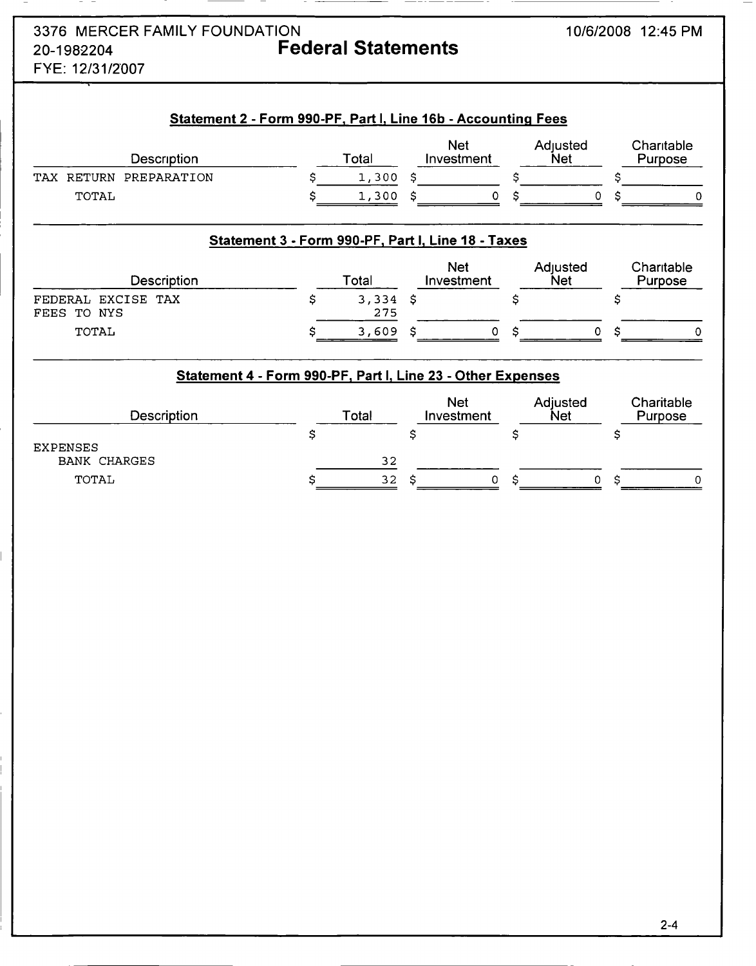| 3376 MERCER FAMILY FOUNDATION |                                                               | 10/6/2008 12:45 PM |
|-------------------------------|---------------------------------------------------------------|--------------------|
| 20-1982204<br>FYE: 12/31/2007 | <b>Federal Statements</b>                                     |                    |
|                               | Statement 2 - Form 990-PF, Part I, Line 16b - Accounting Fees |                    |

| Description            | Total | Net<br>Investment | Adiusted<br><b>Net</b> | Charitable<br>Purpose |
|------------------------|-------|-------------------|------------------------|-----------------------|
| TAX RETURN PREPARATION | 1,300 |                   |                        |                       |
| TOTAL                  | 1,300 |                   |                        |                       |

# Statement 3 - Form 990-PF, Part I, Line 18 - Taxes

| Description                          | Total        | <b>Net</b><br>Investment | Adjusted<br>Net | Charitable<br>Purpose |
|--------------------------------------|--------------|--------------------------|-----------------|-----------------------|
| EXCISE TAX<br>FEDERAL<br>FEES TO NYS | 3,334<br>275 |                          |                 |                       |
| TOTAL                                | 3,609        |                          |                 |                       |

## Statement 4 - Form 990-PF, Part I, Line 23 - Other Expenses

| Description         | Total | <b>Net</b><br>Investment | Adjusted<br><b>Net</b> | Charitable<br>Purpose |
|---------------------|-------|--------------------------|------------------------|-----------------------|
| <b>EXPENSES</b>     |       |                          |                        |                       |
| <b>BANK CHARGES</b> | 32    |                          |                        |                       |
| TOTAL               | 32    | 0                        |                        | 0                     |